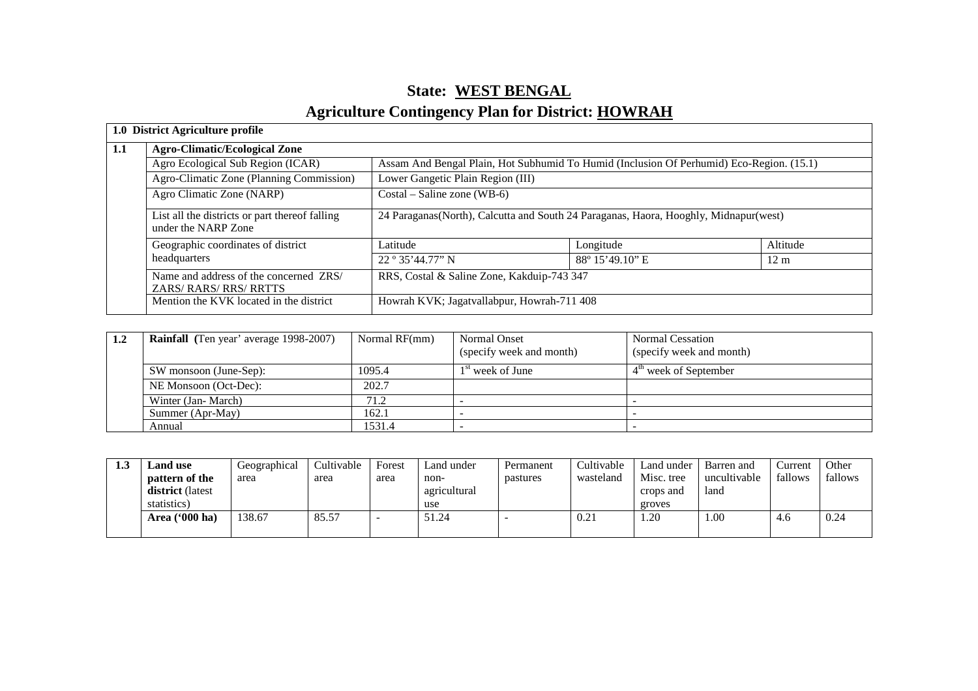## **State: WEST BENGALAgriculture Contingency Plan for District: HOWRAH**

|     | 1.0 District Agriculture profile                                      |                                                                                          |                  |                |  |  |
|-----|-----------------------------------------------------------------------|------------------------------------------------------------------------------------------|------------------|----------------|--|--|
| 1.1 | <b>Agro-Climatic/Ecological Zone</b>                                  |                                                                                          |                  |                |  |  |
|     | Agro Ecological Sub Region (ICAR)                                     | Assam And Bengal Plain, Hot Subhumid To Humid (Inclusion Of Perhumid) Eco-Region. (15.1) |                  |                |  |  |
|     | Agro-Climatic Zone (Planning Commission)                              | Lower Gangetic Plain Region (III)                                                        |                  |                |  |  |
|     | Agro Climatic Zone (NARP)                                             | $Costal - Saline zone (WB-6)$                                                            |                  |                |  |  |
|     | List all the districts or part thereof falling<br>under the NARP Zone | 24 Paraganas (North), Calcutta and South 24 Paraganas, Haora, Hooghly, Midnapur (west)   |                  |                |  |  |
|     | Geographic coordinates of district                                    | Latitude                                                                                 | Longitude        | Altitude       |  |  |
|     | headquarters                                                          | 22°35'44.77"N                                                                            | 88° 15' 49.10" E | $12 \text{ m}$ |  |  |
|     | Name and address of the concerned ZRS/<br>ZARS/RARS/RRS/RRTTS         | RRS, Costal & Saline Zone, Kakduip-743 347                                               |                  |                |  |  |
|     | Mention the KVK located in the district                               | Howrah KVK; Jagatvallabpur, Howrah-711 408                                               |                  |                |  |  |

| 1.2 | <b>Rainfall</b> (Ten year' average 1998-2007) | Normal RF(mm) | Normal Onset<br>(specify week and month) | <b>Normal Cessation</b><br>(specify week and month) |
|-----|-----------------------------------------------|---------------|------------------------------------------|-----------------------------------------------------|
|     | SW monsoon (June-Sep):                        | 1095.4        | l <sup>st</sup> week of June             | 4 <sup>th</sup> week of September                   |
|     | NE Monsoon (Oct-Dec):                         | 202.7         |                                          |                                                     |
|     | Winter (Jan-March)                            | 71.2          |                                          |                                                     |
|     | Summer (Apr-May)                              | 162.1         |                                          |                                                     |
|     | Annual                                        | 1531.4        |                                          |                                                     |

| 1.3 | <b>Land use</b>         | Geographical | Cultivable | Forest | Land under   | Permanent | Cultivable | Land under | Barren and   | Current | Other   |
|-----|-------------------------|--------------|------------|--------|--------------|-----------|------------|------------|--------------|---------|---------|
|     | pattern of the          | area         | area       | area   | non-         | pastures  | wasteland  | Misc. tree | uncultivable | fallows | fallows |
|     | <b>district</b> (latest |              |            |        | agricultural |           |            | crops and  | land         |         |         |
|     | statistics)             |              |            |        | use          |           |            | groves     |              |         |         |
|     | Area ('000 ha)          | 138.67       | 85.57      |        | 51.24        |           | 0.21       | 1.20       | .00          | 4.6     | 0.24    |
|     |                         |              |            |        |              |           |            |            |              |         |         |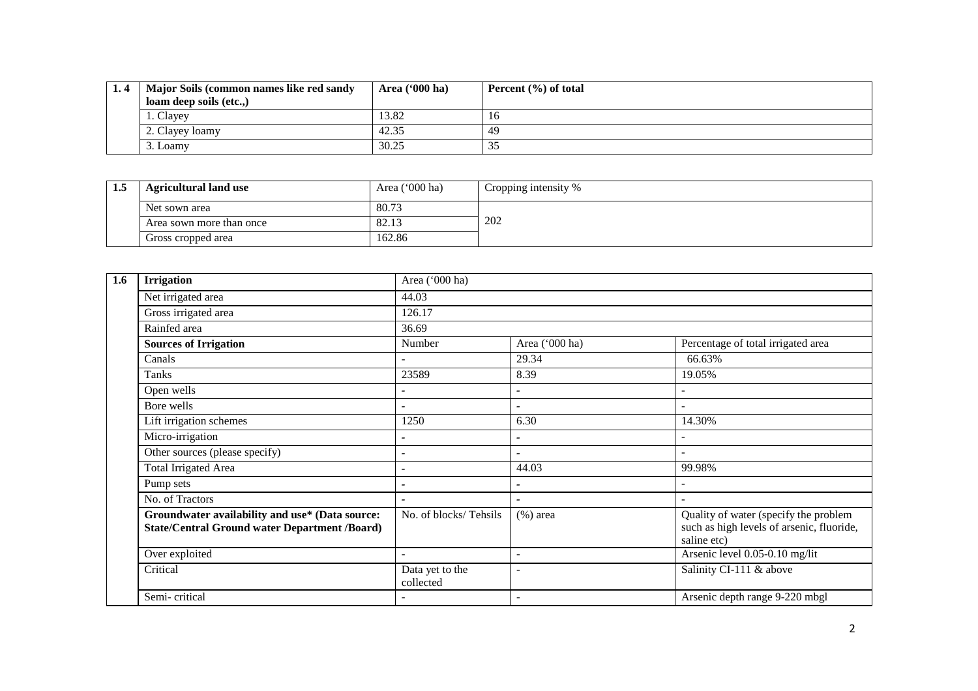| Major Soils (common names like red sandy | Area $(900)$ ha) | Percent $(\% )$ of total |
|------------------------------------------|------------------|--------------------------|
| loam deep soils (etc)                    |                  |                          |
| 1. Clayey                                | 13.82            | 16                       |
| 2. Clayey loamy                          | 42.35            | 49                       |
| 3. Loamy                                 | 30.25            | ر ر                      |

| 1.J | Area $('000 ha)$<br><b>Agricultural land use</b> |        | Cropping intensity % |
|-----|--------------------------------------------------|--------|----------------------|
|     | Net sown area                                    | 80.73  |                      |
|     | Area sown more than once                         | 82.1   | 202                  |
|     | Gross cropped area                               | 162.86 |                      |

| 1.6 | <b>Irrigation</b>                                                                                       | Area ('000 ha)               |                          |                                                                                                   |  |  |  |  |
|-----|---------------------------------------------------------------------------------------------------------|------------------------------|--------------------------|---------------------------------------------------------------------------------------------------|--|--|--|--|
|     | Net irrigated area                                                                                      | 44.03                        |                          |                                                                                                   |  |  |  |  |
|     | Gross irrigated area                                                                                    | 126.17                       |                          |                                                                                                   |  |  |  |  |
|     | Rainfed area                                                                                            | 36.69                        |                          |                                                                                                   |  |  |  |  |
|     | <b>Sources of Irrigation</b>                                                                            | Number                       | Area ('000 ha)           | Percentage of total irrigated area                                                                |  |  |  |  |
|     | Canals                                                                                                  |                              | 29.34                    | 66.63%                                                                                            |  |  |  |  |
|     | Tanks                                                                                                   | 23589                        | 8.39                     | 19.05%                                                                                            |  |  |  |  |
|     | Open wells                                                                                              |                              | $\overline{\phantom{a}}$ |                                                                                                   |  |  |  |  |
|     | Bore wells                                                                                              | $\overline{\phantom{0}}$     | $\overline{\phantom{a}}$ | $\overline{\phantom{a}}$                                                                          |  |  |  |  |
|     | Lift irrigation schemes                                                                                 | 1250                         | 6.30                     | 14.30%                                                                                            |  |  |  |  |
|     | Micro-irrigation                                                                                        |                              | $\overline{\phantom{a}}$ |                                                                                                   |  |  |  |  |
|     | Other sources (please specify)                                                                          |                              |                          | $\overline{\phantom{a}}$                                                                          |  |  |  |  |
|     | <b>Total Irrigated Area</b>                                                                             | $\overline{\phantom{0}}$     | 44.03                    | 99.98%                                                                                            |  |  |  |  |
|     | Pump sets                                                                                               | $\overline{\phantom{0}}$     | $\blacksquare$           |                                                                                                   |  |  |  |  |
|     | No. of Tractors                                                                                         |                              | $\tilde{\phantom{a}}$    |                                                                                                   |  |  |  |  |
|     | Groundwater availability and use* (Data source:<br><b>State/Central Ground water Department /Board)</b> | No. of blocks/Tehsils        | $(\%)$ area              | Quality of water (specify the problem<br>such as high levels of arsenic, fluoride,<br>saline etc) |  |  |  |  |
|     | Over exploited                                                                                          |                              |                          | Arsenic level 0.05-0.10 mg/lit                                                                    |  |  |  |  |
|     | Critical                                                                                                | Data yet to the<br>collected | $\overline{\phantom{a}}$ | Salinity CI-111 & above                                                                           |  |  |  |  |
|     | Semi-critical                                                                                           |                              | $\overline{\phantom{a}}$ | Arsenic depth range 9-220 mbgl                                                                    |  |  |  |  |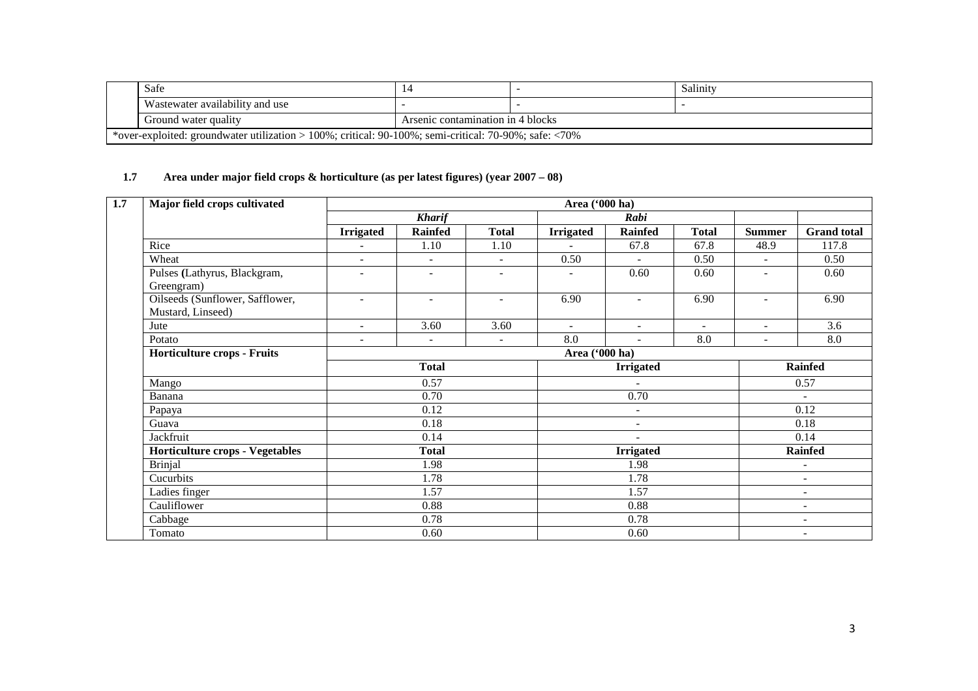| Safe                                                                                                      |                                   |  | Salinity |  |  |  |
|-----------------------------------------------------------------------------------------------------------|-----------------------------------|--|----------|--|--|--|
| Wastewater availability and use                                                                           |                                   |  |          |  |  |  |
| Ground water quality                                                                                      | Arsenic contamination in 4 blocks |  |          |  |  |  |
| *over-exploited: groundwater utilization > 100%; critical: $90-100\%$ ; semi-critical: 70-90%; safe: <70% |                                   |  |          |  |  |  |

## **1.7 Area under major field crops & horticulture (as per latest figures) (year 2007 – 08)**

| Major field crops cultivated                         |                  | Area ('000 ha)           |                          |                  |                          |                          |                          |                          |  |  |  |
|------------------------------------------------------|------------------|--------------------------|--------------------------|------------------|--------------------------|--------------------------|--------------------------|--------------------------|--|--|--|
|                                                      |                  | <b>Kharif</b>            |                          |                  | Rabi                     |                          |                          |                          |  |  |  |
|                                                      | <b>Irrigated</b> | <b>Rainfed</b>           | <b>Total</b>             | <b>Irrigated</b> | <b>Rainfed</b>           | <b>Total</b>             | <b>Summer</b>            | <b>Grand total</b>       |  |  |  |
| Rice                                                 | $\blacksquare$   | 1.10                     | 1.10                     |                  | 67.8                     | 67.8                     | 48.9                     | 117.8                    |  |  |  |
| Wheat                                                | $\blacksquare$   |                          | $\blacksquare$           | 0.50             |                          | 0.50                     | $\blacksquare$           | 0.50                     |  |  |  |
| Pulses (Lathyrus, Blackgram,<br>Greengram)           | ۰                | ۰                        |                          |                  | 0.60                     | 0.60                     | ۰                        | 0.60                     |  |  |  |
| Oilseeds (Sunflower, Safflower,<br>Mustard, Linseed) | ۰                | $\overline{\phantom{a}}$ | $\overline{\phantom{a}}$ | 6.90             | $\overline{\phantom{a}}$ | 6.90                     | $\blacksquare$           | 6.90                     |  |  |  |
| Jute                                                 | ٠                | 3.60                     | 3.60                     | $\sim$           | $\sim$                   | $\blacksquare$           | $\blacksquare$           | 3.6                      |  |  |  |
| Potato                                               | ٠                | $\blacksquare$           | $\blacksquare$           | 8.0              | $\blacksquare$           | 8.0                      | $\overline{a}$           | 8.0                      |  |  |  |
| <b>Horticulture crops - Fruits</b>                   |                  |                          |                          | Area ('000 ha)   |                          |                          |                          |                          |  |  |  |
|                                                      |                  | <b>Total</b>             |                          | <b>Irrigated</b> |                          |                          |                          | <b>Rainfed</b>           |  |  |  |
| Mango                                                |                  | 0.57                     |                          |                  |                          |                          |                          | 0.57                     |  |  |  |
| Banana                                               |                  | 0.70                     |                          |                  | 0.70                     |                          |                          | $\sim$                   |  |  |  |
| Papaya                                               |                  | 0.12                     |                          |                  | ٠                        |                          |                          | 0.12                     |  |  |  |
| Guava                                                |                  | 0.18                     |                          |                  | $\sim$                   |                          |                          | 0.18                     |  |  |  |
| Jackfruit                                            |                  | 0.14                     |                          |                  | $\overline{\phantom{a}}$ |                          |                          | 0.14                     |  |  |  |
| <b>Horticulture crops - Vegetables</b>               |                  | <b>Total</b>             |                          |                  | <b>Irrigated</b>         |                          |                          | <b>Rainfed</b>           |  |  |  |
| <b>Brinjal</b>                                       |                  | 1.98                     |                          |                  | 1.98                     |                          |                          | $\overline{\phantom{a}}$ |  |  |  |
| Cucurbits                                            |                  | 1.78<br>1.57<br>0.88     |                          |                  | 1.78                     |                          |                          | $\overline{\phantom{a}}$ |  |  |  |
| Ladies finger                                        |                  |                          |                          |                  | 1.57                     |                          |                          | $\overline{\phantom{a}}$ |  |  |  |
| Cauliflower                                          |                  |                          |                          | 0.88             |                          |                          | $\overline{\phantom{0}}$ |                          |  |  |  |
| Cabbage                                              |                  | 0.78                     |                          |                  | 0.78                     |                          |                          | $\overline{\phantom{a}}$ |  |  |  |
| Tomato                                               |                  | 0.60                     |                          | 0.60             |                          | $\overline{\phantom{a}}$ |                          |                          |  |  |  |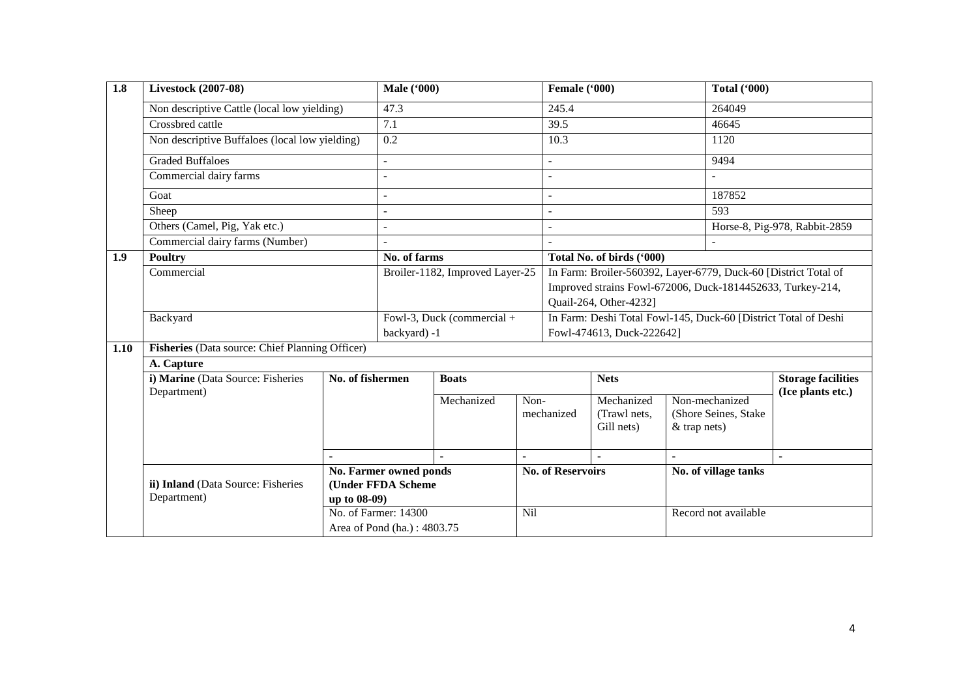| $\overline{1.8}$ | <b>Livestock (2007-08)</b>                        |                  | <b>Male</b> ('000)                           |                            |                                                                                                                                                         | Female ('000)                                                                                |                                          |                      | <b>Total ('000)</b>                    |                               |
|------------------|---------------------------------------------------|------------------|----------------------------------------------|----------------------------|---------------------------------------------------------------------------------------------------------------------------------------------------------|----------------------------------------------------------------------------------------------|------------------------------------------|----------------------|----------------------------------------|-------------------------------|
|                  | Non descriptive Cattle (local low yielding)       |                  | 47.3                                         |                            |                                                                                                                                                         | 245.4                                                                                        |                                          |                      | 264049                                 |                               |
|                  | Crossbred cattle                                  |                  | 7.1                                          |                            | 39.5                                                                                                                                                    |                                                                                              |                                          | 46645                |                                        |                               |
|                  | Non descriptive Buffaloes (local low yielding)    |                  | $\overline{0.2}$                             |                            |                                                                                                                                                         | 10.3                                                                                         |                                          |                      | 1120                                   |                               |
|                  | <b>Graded Buffaloes</b>                           |                  |                                              |                            |                                                                                                                                                         |                                                                                              |                                          |                      | 9494                                   |                               |
|                  | Commercial dairy farms                            |                  |                                              |                            |                                                                                                                                                         |                                                                                              |                                          |                      |                                        |                               |
|                  | Goat                                              |                  |                                              |                            |                                                                                                                                                         |                                                                                              |                                          |                      | 187852                                 |                               |
|                  | Sheep                                             |                  |                                              |                            |                                                                                                                                                         |                                                                                              |                                          |                      | 593                                    |                               |
|                  | Others (Camel, Pig, Yak etc.)                     |                  |                                              |                            |                                                                                                                                                         |                                                                                              |                                          |                      |                                        | Horse-8, Pig-978, Rabbit-2859 |
|                  | Commercial dairy farms (Number)                   |                  |                                              |                            |                                                                                                                                                         |                                                                                              |                                          |                      |                                        |                               |
| 1.9              | <b>Poultry</b>                                    |                  | No. of farms                                 |                            |                                                                                                                                                         | Total No. of birds ('000)                                                                    |                                          |                      |                                        |                               |
|                  | Commercial                                        |                  | Broiler-1182, Improved Layer-25              |                            | In Farm: Broiler-560392, Layer-6779, Duck-60 [District Total of<br>Improved strains Fowl-672006, Duck-1814452633, Turkey-214,<br>Quail-264, Other-4232] |                                                                                              |                                          |                      |                                        |                               |
|                  | Backyard                                          |                  | backyard) -1                                 | Fowl-3, Duck (commercial + |                                                                                                                                                         | In Farm: Deshi Total Fowl-145, Duck-60 [District Total of Deshi<br>Fowl-474613, Duck-222642] |                                          |                      |                                        |                               |
| 1.10             | Fisheries (Data source: Chief Planning Officer)   |                  |                                              |                            |                                                                                                                                                         |                                                                                              |                                          |                      |                                        |                               |
|                  | A. Capture                                        |                  |                                              |                            |                                                                                                                                                         |                                                                                              |                                          |                      |                                        |                               |
|                  | i) Marine (Data Source: Fisheries                 | No. of fishermen |                                              | <b>Boats</b>               |                                                                                                                                                         | <b>Nets</b>                                                                                  |                                          |                      | <b>Storage facilities</b>              |                               |
|                  | Department)                                       |                  |                                              | Mechanized                 | Non-                                                                                                                                                    | mechanized                                                                                   | Mechanized<br>(Trawl nets,<br>Gill nets) | $&$ trap nets)       | Non-mechanized<br>(Shore Seines, Stake | (Ice plants etc.)             |
|                  |                                                   |                  |                                              |                            |                                                                                                                                                         |                                                                                              | $\overline{a}$                           |                      |                                        |                               |
|                  | ii) Inland (Data Source: Fisheries<br>Department) | up to 08-09)     | No. Farmer owned ponds<br>(Under FFDA Scheme |                            | <b>No. of Reservoirs</b>                                                                                                                                |                                                                                              |                                          | No. of village tanks |                                        |                               |
|                  |                                                   |                  | No. of Farmer: 14300                         |                            | Nil                                                                                                                                                     |                                                                                              |                                          | Record not available |                                        |                               |
|                  |                                                   |                  | Area of Pond (ha.): 4803.75                  |                            |                                                                                                                                                         |                                                                                              |                                          |                      |                                        |                               |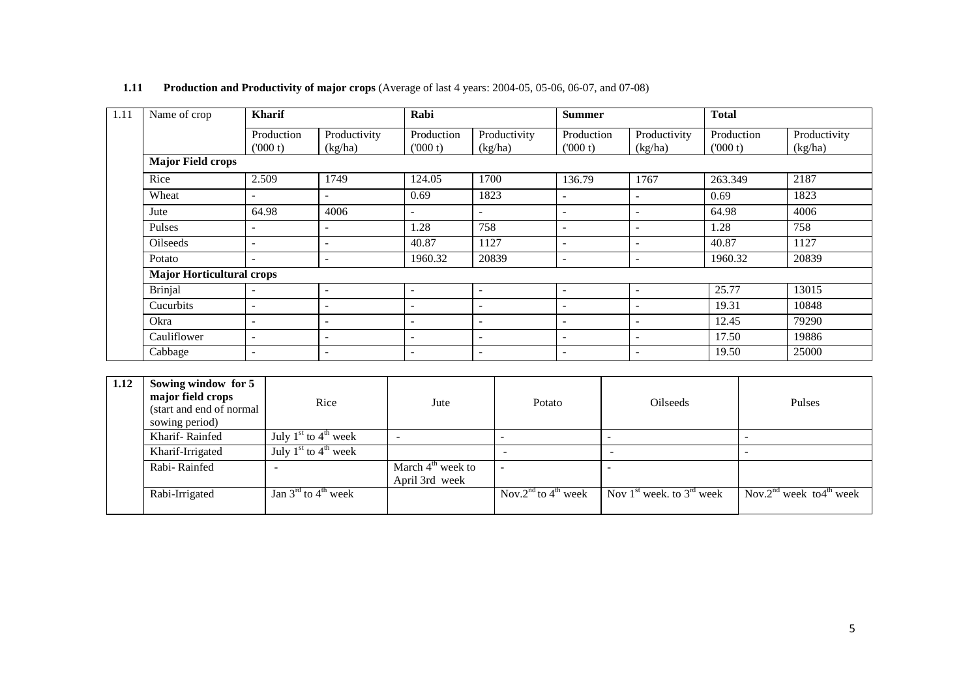| Name of crop                     | <b>Kharif</b>            |                          | Rabi                     |                          | <b>Summer</b>            |                         | <b>Total</b>          |                         |
|----------------------------------|--------------------------|--------------------------|--------------------------|--------------------------|--------------------------|-------------------------|-----------------------|-------------------------|
|                                  | Production<br>(000 t)    | Productivity<br>(kg/ha)  | Production<br>(000 t)    | Productivity<br>(kg/ha)  | Production<br>(000 t)    | Productivity<br>(kg/ha) | Production<br>(000 t) | Productivity<br>(kg/ha) |
| <b>Major Field crops</b>         |                          |                          |                          |                          |                          |                         |                       |                         |
| Rice                             | 2.509                    | 1749                     | 124.05                   | 1700                     | 136.79                   | 1767                    | 263.349               | 2187                    |
| Wheat                            | ۰                        | $\overline{\phantom{a}}$ | 0.69                     | 1823                     | $\overline{\phantom{a}}$ | ۰                       | 0.69                  | 1823                    |
| Jute                             | 64.98                    | 4006                     |                          | $\overline{\phantom{0}}$ | $\overline{\phantom{a}}$ | ۰                       | 64.98                 | 4006                    |
| Pulses                           | ۰                        | $\overline{\phantom{a}}$ | 1.28                     | 758                      |                          |                         | 1.28                  | 758                     |
| <b>Oilseeds</b>                  | $\overline{\phantom{a}}$ | $\overline{\phantom{a}}$ | 40.87                    | 1127                     | $\overline{\phantom{a}}$ | ۰                       | 40.87                 | 1127                    |
| Potato                           | $\overline{\phantom{0}}$ | $\overline{\phantom{a}}$ | 1960.32                  | 20839                    | $\overline{\phantom{a}}$ | ۰                       | 1960.32               | 20839                   |
| <b>Major Horticultural crops</b> |                          |                          |                          |                          |                          |                         |                       |                         |
| <b>Brinjal</b>                   | $\overline{\phantom{a}}$ |                          | $\overline{\phantom{a}}$ | ۰                        | $\overline{\phantom{a}}$ |                         | 25.77                 | 13015                   |
| Cucurbits                        | ۰                        | $\overline{\phantom{a}}$ | $\overline{\phantom{0}}$ | $\overline{\phantom{0}}$ | $\overline{\phantom{a}}$ | ۰                       | 19.31                 | 10848                   |
| Okra                             | $\overline{\phantom{a}}$ | $\overline{\phantom{a}}$ | $\overline{\phantom{a}}$ | $\overline{\phantom{0}}$ | $\overline{\phantom{a}}$ | ۰                       | 12.45                 | 79290                   |
| Cauliflower                      | $\overline{\phantom{0}}$ | $\overline{\phantom{a}}$ | $\overline{\phantom{0}}$ | $\overline{\phantom{0}}$ | $\overline{\phantom{a}}$ | ۰                       | 17.50                 | 19886                   |
| Cabbage                          | ۰                        | $\overline{\phantom{a}}$ | $\overline{\phantom{a}}$ | $\overline{\phantom{0}}$ | $\overline{\phantom{a}}$ | ۰                       | 19.50                 | 25000                   |

## **1.11 Production and Productivity of major crops** (Average of last 4 years: 2004-05, 05-06, 06-07, and 07-08)

| 1.12 | Sowing window for 5<br>major field crops<br>(start and end of normal<br>sowing period) | Rice                                                          | Jute                                  | Potato                                      | <b>Oilseeds</b>               | Pulses                                          |  |
|------|----------------------------------------------------------------------------------------|---------------------------------------------------------------|---------------------------------------|---------------------------------------------|-------------------------------|-------------------------------------------------|--|
|      | Kharif-Rainfed                                                                         | July $1st$ to $4th$ week                                      | $\overline{\phantom{0}}$              |                                             |                               |                                                 |  |
|      | Kharif-Irrigated                                                                       | July $1st$ to $4th$ week                                      |                                       |                                             |                               |                                                 |  |
|      | Rabi-Rainfed                                                                           |                                                               | March $4th$ week to<br>April 3rd week | <b>.</b>                                    |                               |                                                 |  |
|      | Rabi-Irrigated                                                                         | $\overline{\text{Jan 3}}^{\text{rd}}$ to 4 <sup>th</sup> week |                                       | Nov.2 <sup>nd</sup> to 4 <sup>th</sup> week | Nov $1st$ week, to $3rd$ week | Nov.2 <sup>nd</sup> week to4 <sup>th</sup> week |  |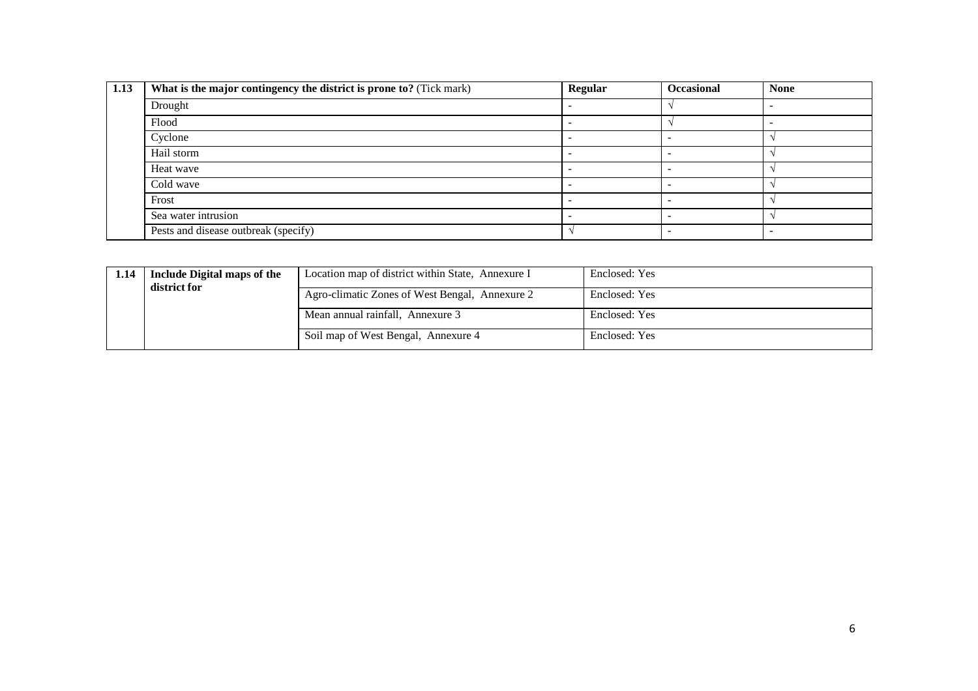| 1.13 | What is the major contingency the district is prone to? (Tick mark) | Regular | <b>Occasional</b> | <b>None</b> |
|------|---------------------------------------------------------------------|---------|-------------------|-------------|
|      | Drought                                                             |         |                   |             |
|      | Flood                                                               |         |                   |             |
|      | Cyclone                                                             |         |                   |             |
|      | Hail storm                                                          |         |                   |             |
|      | Heat wave                                                           |         |                   |             |
|      | Cold wave                                                           |         |                   |             |
|      | Frost                                                               |         |                   |             |
|      | Sea water intrusion                                                 |         |                   |             |
|      | Pests and disease outbreak (specify)                                |         |                   |             |

| 1.14 | Include Digital maps of the<br>district for | Location map of district within State, Annexure I | Enclosed: Yes |
|------|---------------------------------------------|---------------------------------------------------|---------------|
|      |                                             | Agro-climatic Zones of West Bengal, Annexure 2    | Enclosed: Yes |
|      |                                             | Mean annual rainfall, Annexure 3                  | Enclosed: Yes |
|      |                                             | Soil map of West Bengal, Annexure 4               | Enclosed: Yes |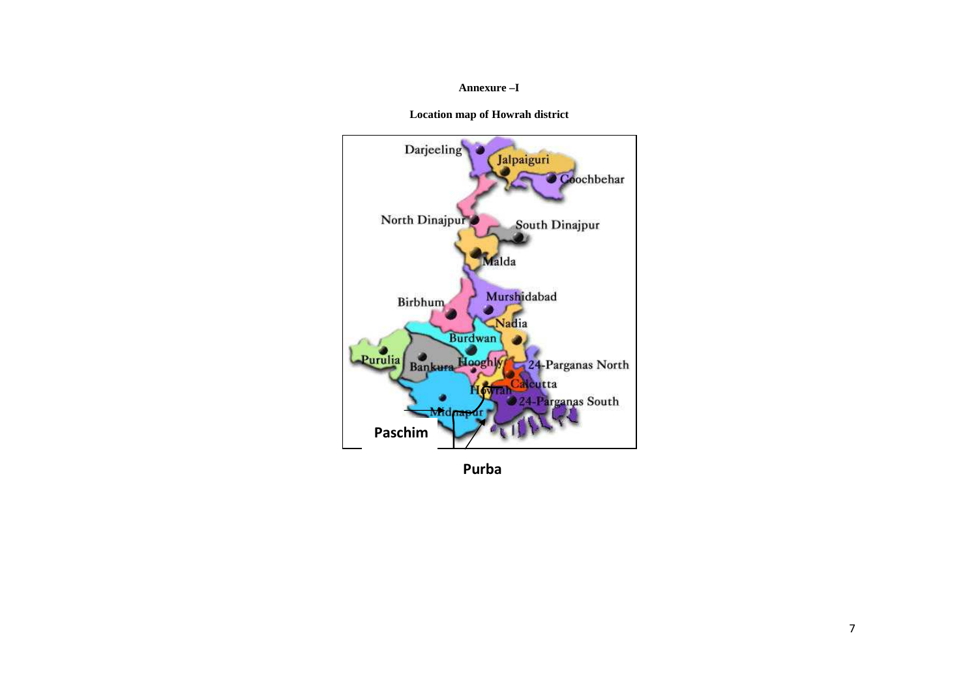## **Annexure –I**

**Location map of Howrah district** 



**Purba**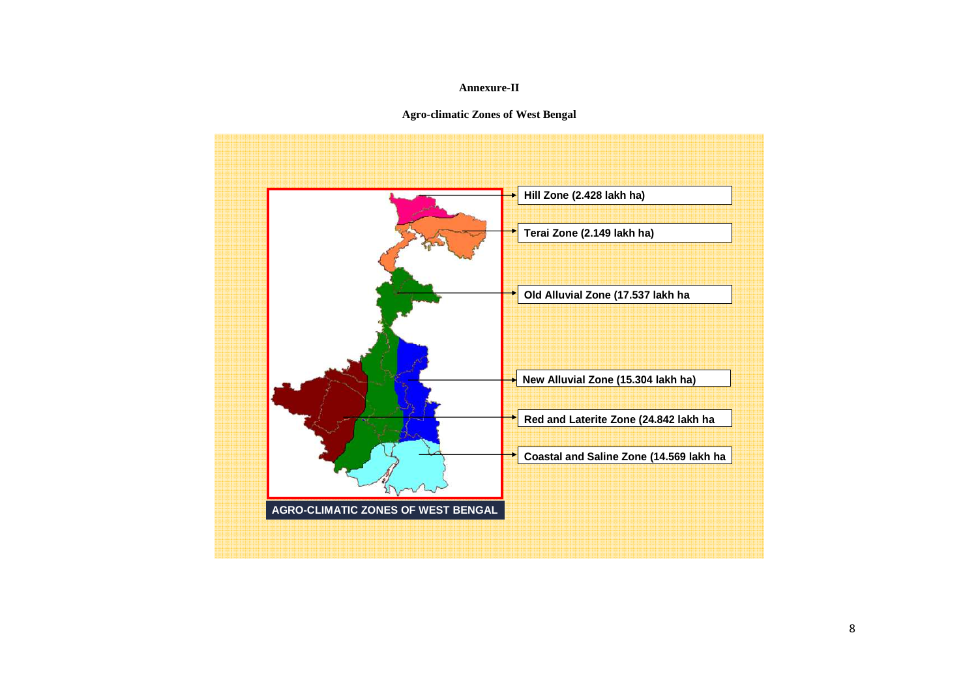## **Annexure-II**

**Agro-climatic Zones of West Bengal** 

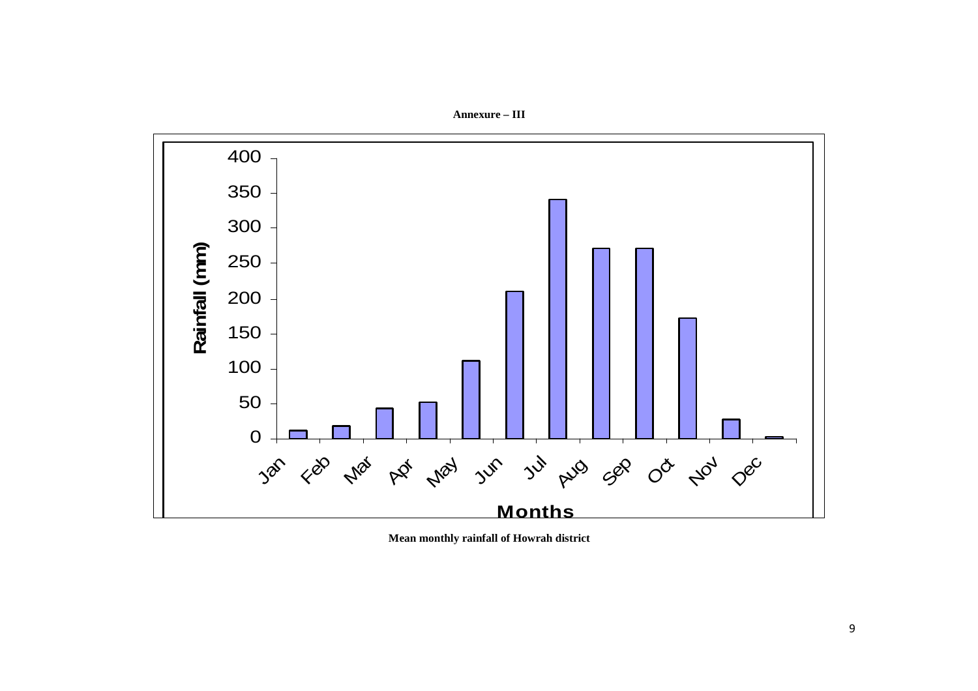**Annexure – III** 



**Mean monthly rainfall of Howrah district**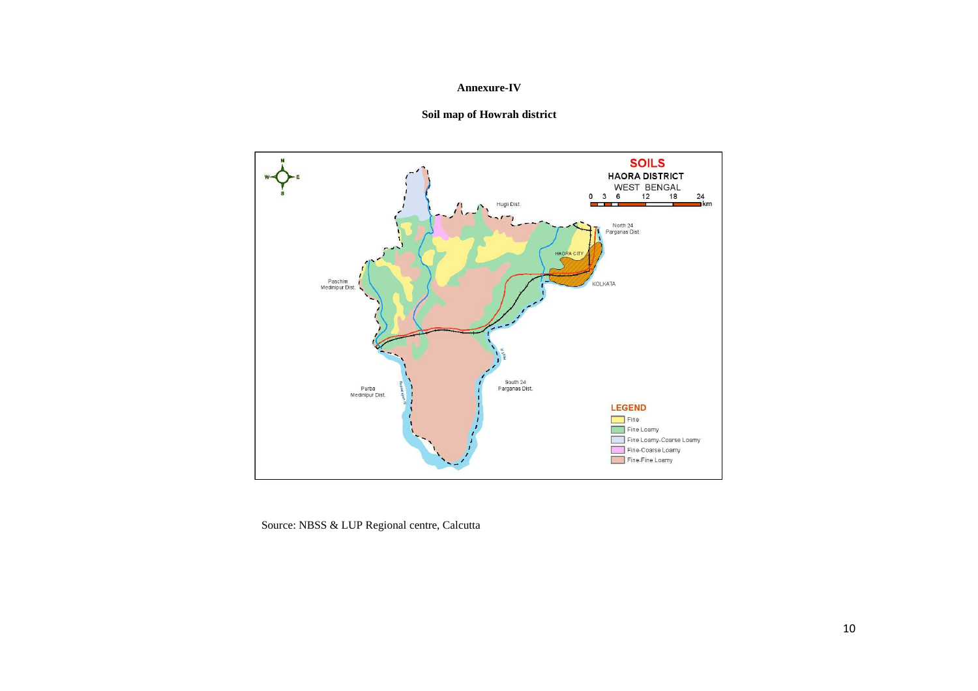## **Annexure-IV**





Source: NBSS & LUP Regional centre, Calcutta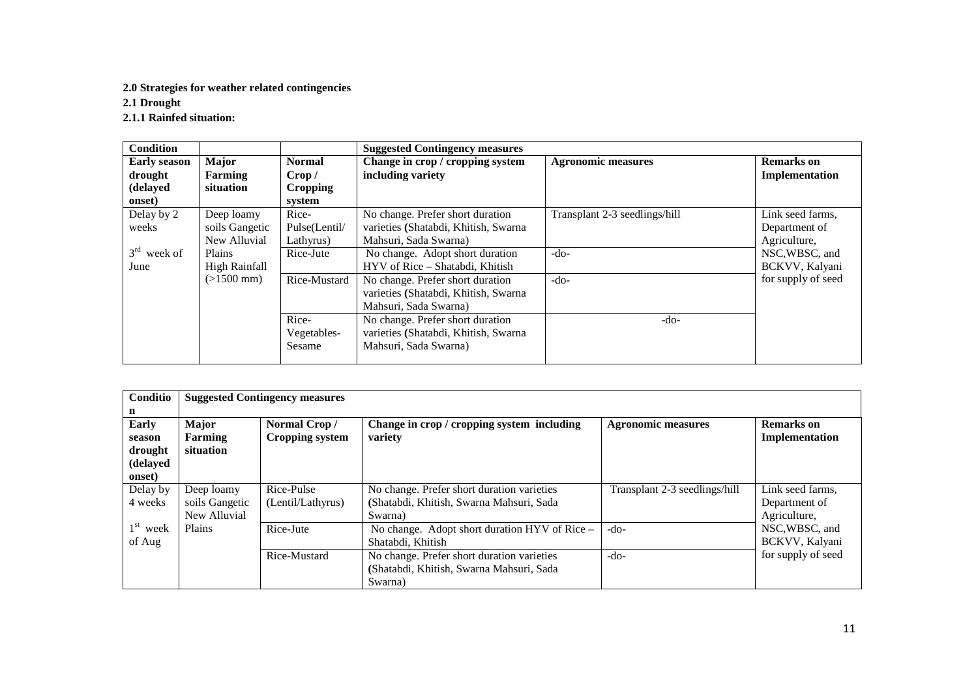## **2.0 Strategies for weather related contingencies**

**2.1 Drought** 

**2.1.1 Rainfed situation:** 

| <b>Condition</b>    |                      |                 | <b>Suggested Contingency measures</b> |                               |                    |
|---------------------|----------------------|-----------------|---------------------------------------|-------------------------------|--------------------|
| <b>Early season</b> | Major                | <b>Normal</b>   | Change in crop / cropping system      | <b>Agronomic measures</b>     | <b>Remarks</b> on  |
| drought             | Farming              | Crop /          | including variety                     |                               | Implementation     |
| (delayed            | situation            | <b>Cropping</b> |                                       |                               |                    |
| onset)              |                      | system          |                                       |                               |                    |
| Delay by 2          | Deep loamy           | Rice-           | No change. Prefer short duration      | Transplant 2-3 seedlings/hill | Link seed farms,   |
| weeks               | soils Gangetic       | Pulse(Lentil/   | varieties (Shatabdi, Khitish, Swarna  |                               | Department of      |
|                     | New Alluvial         | Lathyrus)       | Mahsuri, Sada Swarna)                 |                               | Agriculture,       |
| $3rd$ week of       | Plains               | Rice-Jute       | No change. Adopt short duration       | $-do-$                        | NSC, WBSC, and     |
| June                | <b>High Rainfall</b> |                 | HYV of Rice – Shatabdi, Khitish       |                               | BCKVV, Kalyani     |
|                     | $(>1500$ mm)         | Rice-Mustard    | No change. Prefer short duration      | $-do-$                        | for supply of seed |
|                     |                      |                 | varieties (Shatabdi, Khitish, Swarna  |                               |                    |
|                     |                      |                 | Mahsuri, Sada Swarna)                 |                               |                    |
|                     |                      | Rice-           | No change. Prefer short duration      | $-do-$                        |                    |
|                     |                      | Vegetables-     | varieties (Shatabdi, Khitish, Swarna  |                               |                    |
|                     |                      | Sesame          | Mahsuri, Sada Swarna)                 |                               |                    |
|                     |                      |                 |                                       |                               |                    |

| Conditio   | <b>Suggested Contingency measures</b> |                        |                                               |                               |                    |  |  |  |  |  |
|------------|---------------------------------------|------------------------|-----------------------------------------------|-------------------------------|--------------------|--|--|--|--|--|
| n          |                                       |                        |                                               |                               |                    |  |  |  |  |  |
| Early      | <b>Major</b>                          | Normal Crop/           | Change in crop / cropping system including    | <b>Agronomic measures</b>     | <b>Remarks</b> on  |  |  |  |  |  |
| season     | Farming                               | <b>Cropping system</b> | variety                                       |                               | Implementation     |  |  |  |  |  |
| drought    | situation                             |                        |                                               |                               |                    |  |  |  |  |  |
| (delayed   |                                       |                        |                                               |                               |                    |  |  |  |  |  |
| onset)     |                                       |                        |                                               |                               |                    |  |  |  |  |  |
| Delay by   | Deep loamy                            | Rice-Pulse             | No change. Prefer short duration varieties    | Transplant 2-3 seedlings/hill | Link seed farms,   |  |  |  |  |  |
| 4 weeks    | soils Gangetic                        | (Lentil/Lathyrus)      | (Shatabdi, Khitish, Swarna Mahsuri, Sada      |                               | Department of      |  |  |  |  |  |
|            | New Alluvial                          |                        | Swarna)                                       |                               | Agriculture,       |  |  |  |  |  |
| $1st$ week | Plains                                | Rice-Jute              | No change. Adopt short duration HYV of Rice - | $-do-$                        | NSC, WBSC, and     |  |  |  |  |  |
| of Aug     |                                       |                        | Shatabdi, Khitish                             |                               | BCKVV, Kalyani     |  |  |  |  |  |
|            |                                       | Rice-Mustard           | No change. Prefer short duration varieties    | $-do-$                        | for supply of seed |  |  |  |  |  |
|            |                                       |                        | (Shatabdi, Khitish, Swarna Mahsuri, Sada      |                               |                    |  |  |  |  |  |
|            |                                       |                        | Swarna)                                       |                               |                    |  |  |  |  |  |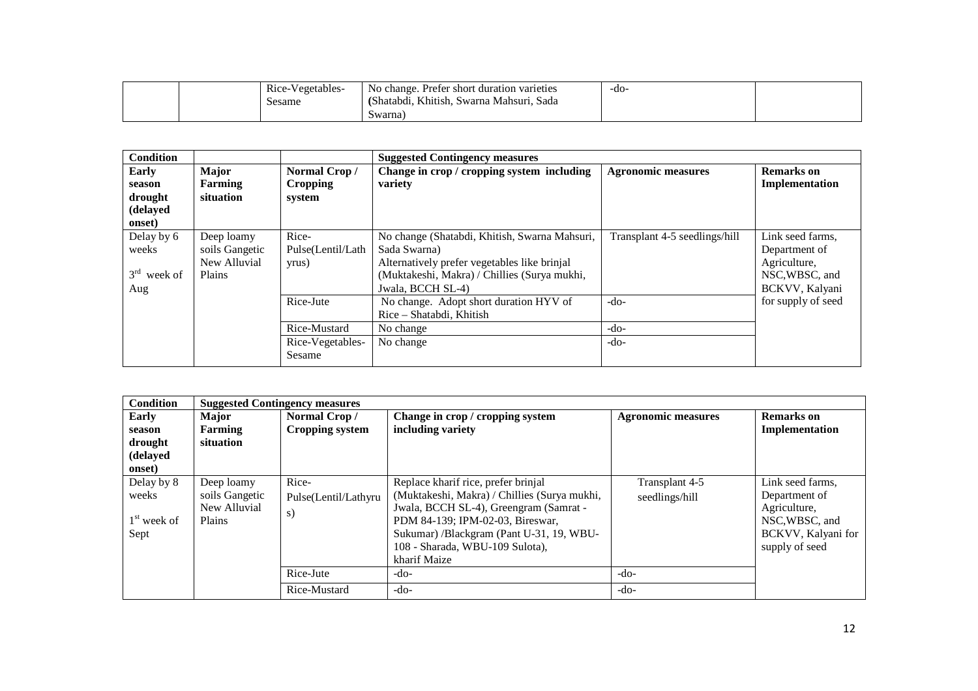|  | n'<br>Rice-Vegetables- | $\sim$<br>Prefer short duration varieties<br>change. F<br>.NO | -do- |  |
|--|------------------------|---------------------------------------------------------------|------|--|
|  | Sesame                 | (Shatabdi, Khitish, Swarna Mahsuri, Sada                      |      |  |
|  |                        | Swarna)                                                       |      |  |

| <b>Condition</b>                                 |                                                        |                                           | <b>Suggested Contingency measures</b>                                                                                                                                              |                               |                                                                                       |
|--------------------------------------------------|--------------------------------------------------------|-------------------------------------------|------------------------------------------------------------------------------------------------------------------------------------------------------------------------------------|-------------------------------|---------------------------------------------------------------------------------------|
| Early<br>season<br>drought<br>(delayed<br>onset) | Major<br>Farming<br>situation                          | Normal Crop/<br><b>Cropping</b><br>system | Change in crop / cropping system including<br>variety                                                                                                                              | <b>Agronomic measures</b>     | <b>Remarks</b> on<br>Implementation                                                   |
| Delay by 6<br>weeks<br>$3rd$ week of<br>Aug      | Deep loamy<br>soils Gangetic<br>New Alluvial<br>Plains | Rice-<br>Pulse(Lentil/Lath<br>yrus)       | No change (Shatabdi, Khitish, Swarna Mahsuri,<br>Sada Swarna)<br>Alternatively prefer vegetables like brinjal<br>(Muktakeshi, Makra) / Chillies (Surya mukhi,<br>Jwala, BCCH SL-4) | Transplant 4-5 seedlings/hill | Link seed farms,<br>Department of<br>Agriculture,<br>NSC, WBSC, and<br>BCKVV, Kalyani |
|                                                  |                                                        | Rice-Jute                                 | No change. Adopt short duration HYV of<br>Rice - Shatabdi, Khitish                                                                                                                 | $-do-$                        | for supply of seed                                                                    |
|                                                  |                                                        | Rice-Mustard                              | No change                                                                                                                                                                          | $-do-$                        |                                                                                       |
|                                                  |                                                        | Rice-Vegetables-<br>Sesame                | No change                                                                                                                                                                          | $-do-$                        |                                                                                       |

| <b>Condition</b> | <b>Suggested Contingency measures</b> |                        |                                              |                           |                    |  |  |  |
|------------------|---------------------------------------|------------------------|----------------------------------------------|---------------------------|--------------------|--|--|--|
| Early            | <b>Major</b>                          | Normal Crop/           | Change in crop / cropping system             | <b>Agronomic measures</b> | <b>Remarks</b> on  |  |  |  |
| season           | Farming                               | <b>Cropping system</b> | including variety                            |                           | Implementation     |  |  |  |
| drought          | situation                             |                        |                                              |                           |                    |  |  |  |
| (delayed         |                                       |                        |                                              |                           |                    |  |  |  |
| onset)           |                                       |                        |                                              |                           |                    |  |  |  |
| Delay by 8       | Deep loamy                            | Rice-                  | Replace kharif rice, prefer brinjal          | Transplant 4-5            | Link seed farms,   |  |  |  |
| weeks            | soils Gangetic                        | Pulse(Lentil/Lathyru   | (Muktakeshi, Makra) / Chillies (Surya mukhi, | seedlings/hill            | Department of      |  |  |  |
|                  | New Alluvial                          | s)                     | Jwala, BCCH SL-4), Greengram (Samrat -       |                           | Agriculture,       |  |  |  |
| $1st$ week of    | Plains                                |                        | PDM 84-139; IPM-02-03, Bireswar,             |                           | NSC, WBSC, and     |  |  |  |
| Sept             |                                       |                        | Sukumar) /Blackgram (Pant U-31, 19, WBU-     |                           | BCKVV, Kalyani for |  |  |  |
|                  |                                       |                        | 108 - Sharada, WBU-109 Sulota),              |                           | supply of seed     |  |  |  |
|                  |                                       |                        | kharif Maize                                 |                           |                    |  |  |  |
|                  |                                       | Rice-Jute              | $-do-$                                       | $-do-$                    |                    |  |  |  |
|                  |                                       | Rice-Mustard           | $-do-$                                       | $-do-$                    |                    |  |  |  |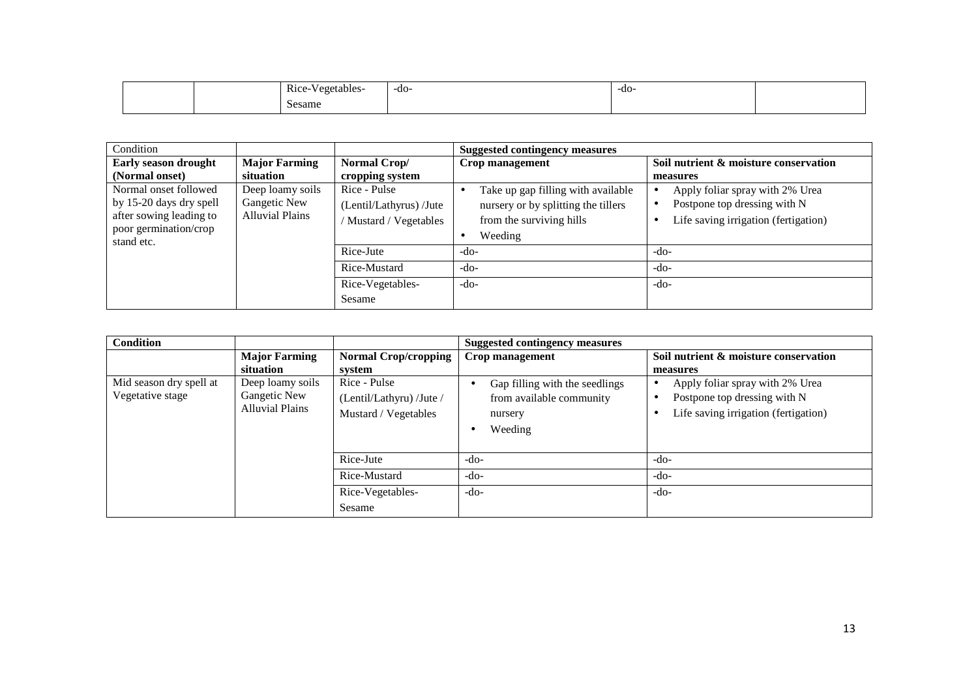| Rice<br>$ -$<br>ables<br><i>Manats</i><br>$\sim$ $\sim$ | -do- | -do- |  |
|---------------------------------------------------------|------|------|--|
| Sesame<br>.                                             |      |      |  |

| Condition                                                                                                          |                                                            |                                                                                                                            | <b>Suggested contingency measures</b>                                                                                                          |                                                                                                                                 |
|--------------------------------------------------------------------------------------------------------------------|------------------------------------------------------------|----------------------------------------------------------------------------------------------------------------------------|------------------------------------------------------------------------------------------------------------------------------------------------|---------------------------------------------------------------------------------------------------------------------------------|
| <b>Early season drought</b>                                                                                        | <b>Major Farming</b>                                       | Normal Crop/                                                                                                               | Crop management                                                                                                                                | Soil nutrient & moisture conservation                                                                                           |
| (Normal onset)                                                                                                     | situation                                                  | cropping system                                                                                                            |                                                                                                                                                | measures                                                                                                                        |
| Normal onset followed<br>by 15-20 days dry spell<br>after sowing leading to<br>poor germination/crop<br>stand etc. | Deep loamy soils<br>Gangetic New<br><b>Alluvial Plains</b> | Rice - Pulse<br>(Lentil/Lathyrus) /Jute<br>Mustard / Vegetables<br>Rice-Jute<br>Rice-Mustard<br>Rice-Vegetables-<br>Sesame | Take up gap filling with available<br>nursery or by splitting the tillers<br>from the surviving hills<br>Weeding<br>$-do-$<br>$-do-$<br>$-do-$ | Apply foliar spray with 2% Urea<br>Postpone top dressing with N<br>Life saving irrigation (fertigation)<br>-do-<br>-do-<br>-do- |

| <b>Condition</b>        |                        |                             | <b>Suggested contingency measures</b> |                                       |  |  |
|-------------------------|------------------------|-----------------------------|---------------------------------------|---------------------------------------|--|--|
|                         | <b>Major Farming</b>   | <b>Normal Crop/cropping</b> | Crop management                       | Soil nutrient & moisture conservation |  |  |
|                         | situation              | system                      |                                       | measures                              |  |  |
| Mid season dry spell at | Deep loamy soils       | Rice - Pulse                | Gap filling with the seedlings        | Apply foliar spray with 2% Urea       |  |  |
| Vegetative stage        | Gangetic New           | (Lentil/Lathyru) /Jute /    | from available community              | Postpone top dressing with N          |  |  |
|                         | <b>Alluvial Plains</b> | Mustard / Vegetables        | nursery                               | Life saving irrigation (fertigation)  |  |  |
|                         |                        |                             | Weeding                               |                                       |  |  |
|                         |                        |                             |                                       |                                       |  |  |
|                         |                        | Rice-Jute                   | -do-                                  | -do-                                  |  |  |
|                         |                        | Rice-Mustard                | $-do-$                                | -do-                                  |  |  |
|                         |                        | Rice-Vegetables-            | $-do-$                                | $-do-$                                |  |  |
|                         |                        | Sesame                      |                                       |                                       |  |  |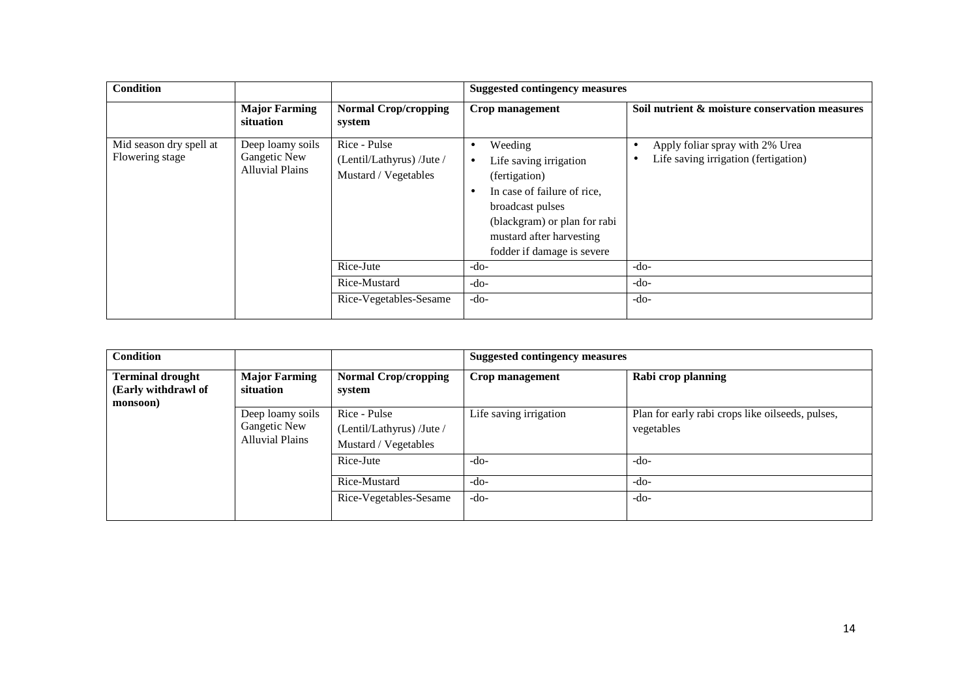| <b>Condition</b>                                                                                                                                                              |                                   |                                                                                                                                                                                                                           | <b>Suggested contingency measures</b>                                        |                                                |  |
|-------------------------------------------------------------------------------------------------------------------------------------------------------------------------------|-----------------------------------|---------------------------------------------------------------------------------------------------------------------------------------------------------------------------------------------------------------------------|------------------------------------------------------------------------------|------------------------------------------------|--|
|                                                                                                                                                                               | <b>Major Farming</b><br>situation | <b>Normal Crop/cropping</b><br>system                                                                                                                                                                                     | Crop management                                                              | Soil nutrient & moisture conservation measures |  |
| Rice - Pulse<br>Mid season dry spell at<br>Deep loamy soils<br>Flowering stage<br>Gangetic New<br>(Lentil/Lathyrus) /Jute /<br><b>Alluvial Plains</b><br>Mustard / Vegetables |                                   | Weeding<br>$\bullet$<br>Life saving irrigation<br>$\bullet$<br>(fertigation)<br>In case of failure of rice,<br>broadcast pulses<br>(blackgram) or plan for rabi<br>mustard after harvesting<br>fodder if damage is severe | Apply foliar spray with 2% Urea<br>٠<br>Life saving irrigation (fertigation) |                                                |  |
|                                                                                                                                                                               |                                   | Rice-Jute                                                                                                                                                                                                                 | $-do-$                                                                       | $-do-$                                         |  |
|                                                                                                                                                                               |                                   | Rice-Mustard                                                                                                                                                                                                              | $-do-$                                                                       | $-do-$                                         |  |
|                                                                                                                                                                               |                                   | Rice-Vegetables-Sesame                                                                                                                                                                                                    | $-do-$                                                                       | $-do-$                                         |  |

| <b>Condition</b>                                           |                                                            |                                                                   | <b>Suggested contingency measures</b> |                                                                |  |  |
|------------------------------------------------------------|------------------------------------------------------------|-------------------------------------------------------------------|---------------------------------------|----------------------------------------------------------------|--|--|
| <b>Terminal drought</b><br>(Early withdrawl of<br>monsoon) | <b>Major Farming</b><br>situation                          | <b>Normal Crop/cropping</b><br>system                             | Crop management                       | Rabi crop planning                                             |  |  |
|                                                            | Deep loamy soils<br>Gangetic New<br><b>Alluvial Plains</b> | Rice - Pulse<br>(Lentil/Lathyrus) /Jute /<br>Mustard / Vegetables | Life saving irrigation                | Plan for early rabi crops like oilseeds, pulses,<br>vegetables |  |  |
|                                                            |                                                            | Rice-Jute                                                         | $-do-$                                | $-do-$                                                         |  |  |
|                                                            |                                                            | Rice-Mustard                                                      | $-do-$                                | $-do-$                                                         |  |  |
|                                                            |                                                            | Rice-Vegetables-Sesame                                            | $-do-$                                | -do-                                                           |  |  |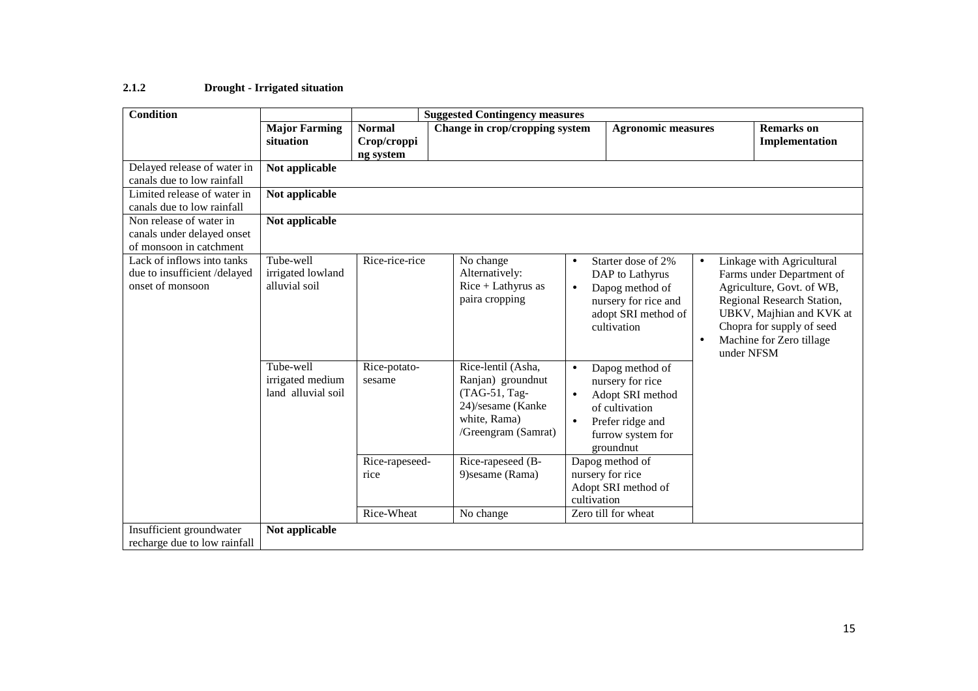#### **2.1.2Drought - Irrigated situation**

| <b>Condition</b>                                                                 |                                                     |                                           | <b>Suggested Contingency measures</b>                                                                                |                                     |                                                                                                                                 |                        |                                                                                                                                                                                                                      |
|----------------------------------------------------------------------------------|-----------------------------------------------------|-------------------------------------------|----------------------------------------------------------------------------------------------------------------------|-------------------------------------|---------------------------------------------------------------------------------------------------------------------------------|------------------------|----------------------------------------------------------------------------------------------------------------------------------------------------------------------------------------------------------------------|
|                                                                                  | <b>Major Farming</b><br>situation                   | <b>Normal</b><br>Crop/croppi<br>ng system | Change in crop/cropping system                                                                                       |                                     | <b>Agronomic measures</b>                                                                                                       |                        | <b>Remarks</b> on<br>Implementation                                                                                                                                                                                  |
| Delayed release of water in<br>canals due to low rainfall                        | Not applicable                                      |                                           |                                                                                                                      |                                     |                                                                                                                                 |                        |                                                                                                                                                                                                                      |
| Limited release of water in<br>canals due to low rainfall                        | Not applicable                                      |                                           |                                                                                                                      |                                     |                                                                                                                                 |                        |                                                                                                                                                                                                                      |
| Non release of water in<br>canals under delayed onset<br>of monsoon in catchment | Not applicable                                      |                                           |                                                                                                                      |                                     |                                                                                                                                 |                        |                                                                                                                                                                                                                      |
| Lack of inflows into tanks<br>due to insufficient /delayed<br>onset of monsoon   | Tube-well<br>irrigated lowland<br>alluvial soil     | Rice-rice-rice                            | No change<br>Alternatively:<br>Rice + Lathyrus as<br>paira cropping                                                  | $\bullet$<br>$\bullet$              | Starter dose of 2%<br>DAP to Lathyrus<br>Dapog method of<br>nursery for rice and<br>adopt SRI method of<br>cultivation          | $\bullet$<br>$\bullet$ | Linkage with Agricultural<br>Farms under Department of<br>Agriculture, Govt. of WB,<br>Regional Research Station,<br>UBKV, Majhian and KVK at<br>Chopra for supply of seed<br>Machine for Zero tillage<br>under NFSM |
|                                                                                  | Tube-well<br>irrigated medium<br>land alluvial soil | Rice-potato-<br>sesame                    | Rice-lentil (Asha,<br>Ranjan) groundnut<br>(TAG-51, Tag-<br>24)/sesame (Kanke<br>white, Rama)<br>/Greengram (Samrat) | $\bullet$<br>$\bullet$<br>$\bullet$ | Dapog method of<br>nursery for rice<br>Adopt SRI method<br>of cultivation<br>Prefer ridge and<br>furrow system for<br>groundnut |                        |                                                                                                                                                                                                                      |
|                                                                                  |                                                     | Rice-rapeseed-<br>rice                    | Rice-rapeseed (B-<br>9) sesame (Rama)                                                                                | cultivation                         | Dapog method of<br>nursery for rice<br>Adopt SRI method of                                                                      |                        |                                                                                                                                                                                                                      |
|                                                                                  |                                                     | Rice-Wheat                                | No change                                                                                                            |                                     | Zero till for wheat                                                                                                             |                        |                                                                                                                                                                                                                      |
| Insufficient groundwater<br>recharge due to low rainfall                         | Not applicable                                      |                                           |                                                                                                                      |                                     |                                                                                                                                 |                        |                                                                                                                                                                                                                      |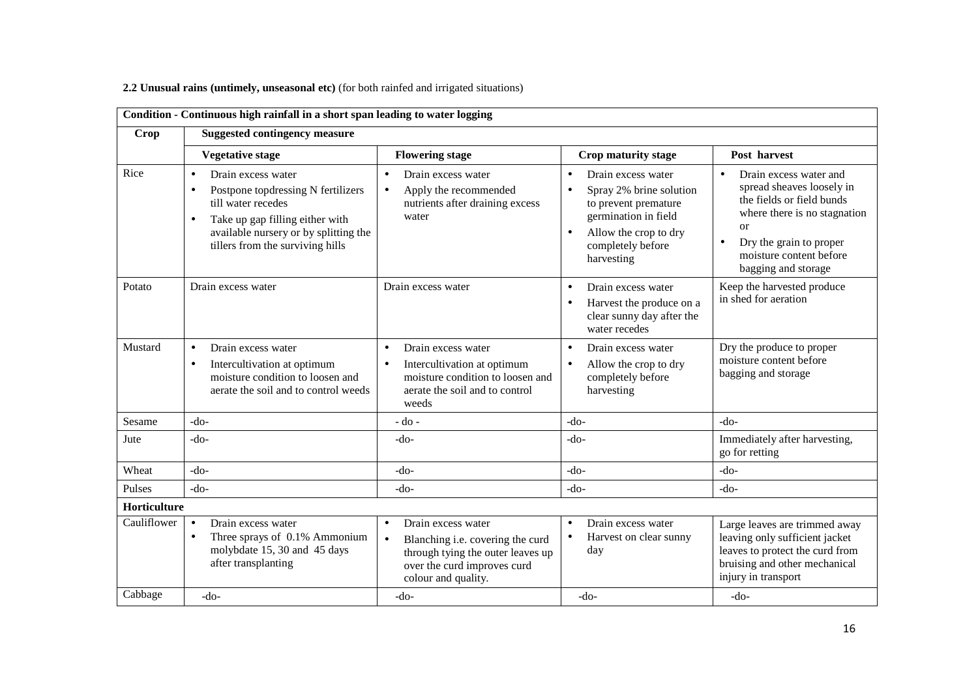## **2.2 Unusual rains (untimely, unseasonal etc)** (for both rainfed and irrigated situations)

|                        | Condition - Continuous high rainfall in a short span leading to water logging                                                                                                                                                         |                                                                                                                                                                             |                                                                                                                                                                                                  |                                                                                                                                                                                                                                          |  |  |
|------------------------|---------------------------------------------------------------------------------------------------------------------------------------------------------------------------------------------------------------------------------------|-----------------------------------------------------------------------------------------------------------------------------------------------------------------------------|--------------------------------------------------------------------------------------------------------------------------------------------------------------------------------------------------|------------------------------------------------------------------------------------------------------------------------------------------------------------------------------------------------------------------------------------------|--|--|
| <b>Crop</b>            | <b>Suggested contingency measure</b>                                                                                                                                                                                                  |                                                                                                                                                                             |                                                                                                                                                                                                  |                                                                                                                                                                                                                                          |  |  |
|                        | <b>Vegetative stage</b>                                                                                                                                                                                                               | <b>Flowering stage</b>                                                                                                                                                      | Crop maturity stage                                                                                                                                                                              | Post harvest                                                                                                                                                                                                                             |  |  |
| Rice                   | Drain excess water<br>$\bullet$<br>Postpone topdressing N fertilizers<br>$\bullet$<br>till water recedes<br>Take up gap filling either with<br>$\bullet$<br>available nursery or by splitting the<br>tillers from the surviving hills | Drain excess water<br>$\bullet$<br>Apply the recommended<br>$\bullet$<br>nutrients after draining excess<br>water                                                           | Drain excess water<br>$\bullet$<br>Spray 2% brine solution<br>$\bullet$<br>to prevent premature<br>germination in field<br>Allow the crop to dry<br>$\bullet$<br>completely before<br>harvesting | Drain excess water and<br>$\bullet$<br>spread sheaves loosely in<br>the fields or field bunds<br>where there is no stagnation<br><sub>or</sub><br>Dry the grain to proper<br>$\bullet$<br>moisture content before<br>bagging and storage |  |  |
| Potato                 | Drain excess water                                                                                                                                                                                                                    | Drain excess water                                                                                                                                                          | Drain excess water<br>$\bullet$<br>Harvest the produce on a<br>$\bullet$<br>clear sunny day after the<br>water recedes                                                                           | Keep the harvested produce<br>in shed for aeration                                                                                                                                                                                       |  |  |
| Mustard                | Drain excess water<br>$\bullet$<br>Intercultivation at optimum<br>$\bullet$<br>moisture condition to loosen and<br>aerate the soil and to control weeds                                                                               | $\bullet$<br>Drain excess water<br>Intercultivation at optimum<br>$\bullet$<br>moisture condition to loosen and<br>aerate the soil and to control<br>weeds                  | Drain excess water<br>$\bullet$<br>Allow the crop to dry<br>$\bullet$<br>completely before<br>harvesting                                                                                         | Dry the produce to proper<br>moisture content before<br>bagging and storage                                                                                                                                                              |  |  |
| Sesame                 | -do-                                                                                                                                                                                                                                  | $-do$ -                                                                                                                                                                     | $-do-$                                                                                                                                                                                           | $-do-$                                                                                                                                                                                                                                   |  |  |
| Jute                   | $-do-$                                                                                                                                                                                                                                | $-do-$                                                                                                                                                                      | -do-                                                                                                                                                                                             | Immediately after harvesting,<br>go for retting                                                                                                                                                                                          |  |  |
| Wheat                  | -do-                                                                                                                                                                                                                                  | $-do-$                                                                                                                                                                      | $-do-$                                                                                                                                                                                           | $-do-$                                                                                                                                                                                                                                   |  |  |
| Pulses                 | $-do-$                                                                                                                                                                                                                                | $-do-$                                                                                                                                                                      | $-do-$                                                                                                                                                                                           | $-do-$                                                                                                                                                                                                                                   |  |  |
| Horticulture           |                                                                                                                                                                                                                                       |                                                                                                                                                                             |                                                                                                                                                                                                  |                                                                                                                                                                                                                                          |  |  |
| Cauliflower<br>Cabbage | Drain excess water<br>$\bullet$<br>Three sprays of 0.1% Ammonium<br>$\bullet$<br>molybdate 15, 30 and 45 days<br>after transplanting                                                                                                  | Drain excess water<br>$\bullet$<br>Blanching i.e. covering the curd<br>$\bullet$<br>through tying the outer leaves up<br>over the curd improves curd<br>colour and quality. | Drain excess water<br>$\bullet$<br>Harvest on clear sunny<br>$\bullet$<br>day                                                                                                                    | Large leaves are trimmed away<br>leaving only sufficient jacket<br>leaves to protect the curd from<br>bruising and other mechanical<br>injury in transport                                                                               |  |  |
|                        | $-do-$                                                                                                                                                                                                                                | $-do-$                                                                                                                                                                      | $-do-$                                                                                                                                                                                           | $-do-$                                                                                                                                                                                                                                   |  |  |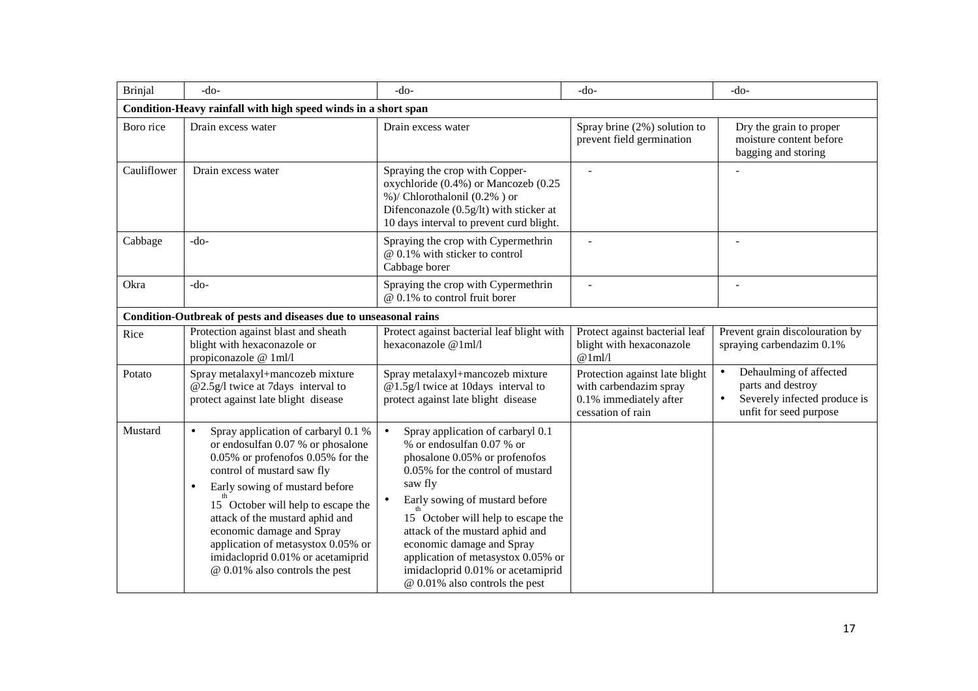| <b>Brinjal</b> | $-do-$                                                                                                                                                                                                                                                                                                                                                                                                                           | $-do-$                                                                                                                                                                                                                                                                                                                                                                                                           | $-do-$                                                                                                  | -do-                                                                                                                            |
|----------------|----------------------------------------------------------------------------------------------------------------------------------------------------------------------------------------------------------------------------------------------------------------------------------------------------------------------------------------------------------------------------------------------------------------------------------|------------------------------------------------------------------------------------------------------------------------------------------------------------------------------------------------------------------------------------------------------------------------------------------------------------------------------------------------------------------------------------------------------------------|---------------------------------------------------------------------------------------------------------|---------------------------------------------------------------------------------------------------------------------------------|
|                | Condition-Heavy rainfall with high speed winds in a short span                                                                                                                                                                                                                                                                                                                                                                   |                                                                                                                                                                                                                                                                                                                                                                                                                  |                                                                                                         |                                                                                                                                 |
| Boro rice      | Drain excess water                                                                                                                                                                                                                                                                                                                                                                                                               | Drain excess water                                                                                                                                                                                                                                                                                                                                                                                               | Spray brine (2%) solution to<br>prevent field germination                                               | Dry the grain to proper<br>moisture content before<br>bagging and storing                                                       |
| Cauliflower    | Drain excess water                                                                                                                                                                                                                                                                                                                                                                                                               | Spraying the crop with Copper-<br>oxychloride (0.4%) or Mancozeb (0.25<br>%)/ Chlorothalonil (0.2%) or<br>Difenconazole (0.5g/lt) with sticker at<br>10 days interval to prevent curd blight.                                                                                                                                                                                                                    |                                                                                                         |                                                                                                                                 |
| Cabbage        | $-do-$                                                                                                                                                                                                                                                                                                                                                                                                                           | Spraying the crop with Cypermethrin<br>@ 0.1% with sticker to control<br>Cabbage borer                                                                                                                                                                                                                                                                                                                           |                                                                                                         |                                                                                                                                 |
| Okra           | $-do-$                                                                                                                                                                                                                                                                                                                                                                                                                           | Spraying the crop with Cypermethrin<br>$@$ 0.1% to control fruit borer                                                                                                                                                                                                                                                                                                                                           |                                                                                                         |                                                                                                                                 |
|                | Condition-Outbreak of pests and diseases due to unseasonal rains                                                                                                                                                                                                                                                                                                                                                                 |                                                                                                                                                                                                                                                                                                                                                                                                                  |                                                                                                         |                                                                                                                                 |
| Rice           | Protection against blast and sheath<br>blight with hexaconazole or<br>propiconazole @ 1ml/l                                                                                                                                                                                                                                                                                                                                      | Protect against bacterial leaf blight with<br>hexaconazole @1ml/l                                                                                                                                                                                                                                                                                                                                                | Protect against bacterial leaf<br>blight with hexaconazole<br>@1m1/                                     | Prevent grain discolouration by<br>spraying carbendazim 0.1%                                                                    |
| Potato         | Spray metalaxyl+mancozeb mixture<br>@2.5g/l twice at 7days interval to<br>protect against late blight disease                                                                                                                                                                                                                                                                                                                    | Spray metalaxyl+mancozeb mixture<br>@1.5g/l twice at 10days interval to<br>protect against late blight disease                                                                                                                                                                                                                                                                                                   | Protection against late blight<br>with carbendazim spray<br>0.1% immediately after<br>cessation of rain | Dehaulming of affected<br>$\bullet$<br>parts and destroy<br>Severely infected produce is<br>$\bullet$<br>unfit for seed purpose |
| Mustard        | Spray application of carbaryl 0.1 %<br>$\bullet$<br>or endosulfan 0.07 % or phosalone<br>$0.05\%$ or profenofos $0.05\%$ for the<br>control of mustard saw fly<br>Early sowing of mustard before<br>$\bullet$<br>15 October will help to escape the<br>attack of the mustard aphid and<br>economic damage and Spray<br>application of metasystox 0.05% or<br>imidacloprid 0.01% or acetamiprid<br>@ 0.01% also controls the pest | Spray application of carbaryl 0.1<br>$\bullet$<br>% or endosulfan 0.07 % or<br>phosalone 0.05% or profenofos<br>0.05% for the control of mustard<br>saw fly<br>Early sowing of mustard before<br>15 October will help to escape the<br>attack of the mustard aphid and<br>economic damage and Spray<br>application of metasystox 0.05% or<br>imidacloprid 0.01% or acetamiprid<br>@ 0.01% also controls the pest |                                                                                                         |                                                                                                                                 |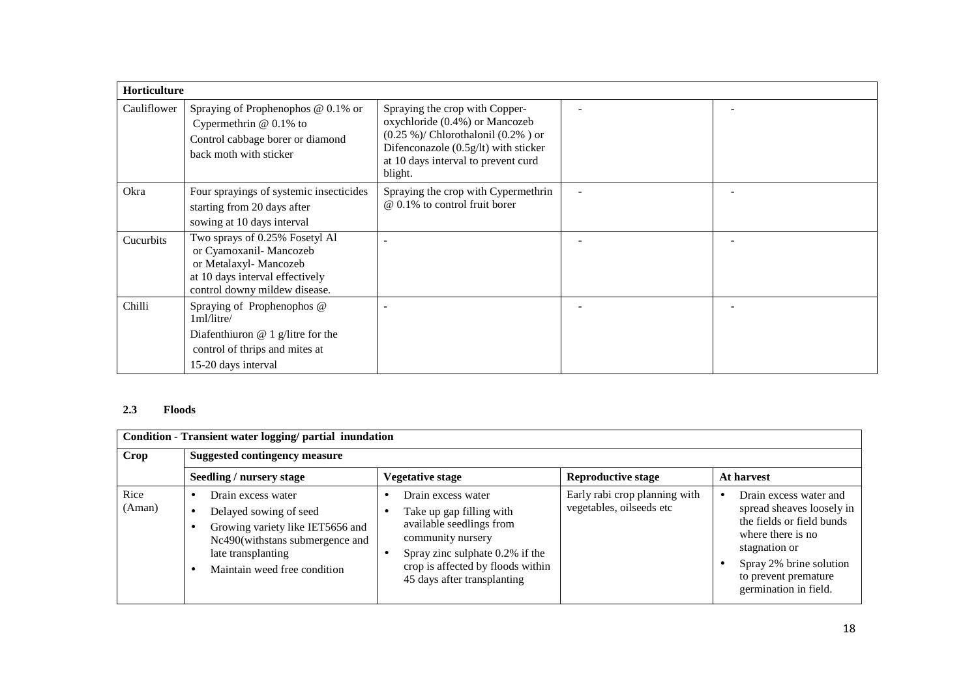| <b>Horticulture</b> |                                                                                                                                                         |                                                                                                                                                                                                        |  |
|---------------------|---------------------------------------------------------------------------------------------------------------------------------------------------------|--------------------------------------------------------------------------------------------------------------------------------------------------------------------------------------------------------|--|
| Cauliflower         | Spraying of Prophenophos $@$ 0.1% or<br>Cypermethrin $@$ 0.1% to<br>Control cabbage borer or diamond<br>back moth with sticker                          | Spraying the crop with Copper-<br>oxychloride (0.4%) or Mancozeb<br>$(0.25\%)$ / Chlorothalonil $(0.2\%)$ or<br>Difenconazole (0.5g/lt) with sticker<br>at 10 days interval to prevent curd<br>blight. |  |
| Okra                | Four sprayings of systemic insecticides<br>starting from 20 days after<br>sowing at 10 days interval                                                    | Spraying the crop with Cypermethrin<br>@ 0.1% to control fruit borer                                                                                                                                   |  |
| Cucurbits           | Two sprays of 0.25% Fosetyl Al<br>or Cyamoxanil- Mancozeb<br>or Metalaxyl- Mancozeb<br>at 10 days interval effectively<br>control downy mildew disease. |                                                                                                                                                                                                        |  |
| Chilli              | Spraying of Prophenophos @<br>1ml/litre/<br>Diafenthiuron $@$ 1 g/litre for the<br>control of thrips and mites at<br>15-20 days interval                |                                                                                                                                                                                                        |  |

## **2.3 Floods**

|                | Condition - Transient water logging/ partial inundation                                                                                                                   |                                                                                                                                                                                                        |                                                           |                                                                                                                                                                                                    |  |  |  |  |
|----------------|---------------------------------------------------------------------------------------------------------------------------------------------------------------------------|--------------------------------------------------------------------------------------------------------------------------------------------------------------------------------------------------------|-----------------------------------------------------------|----------------------------------------------------------------------------------------------------------------------------------------------------------------------------------------------------|--|--|--|--|
| <b>Crop</b>    | <b>Suggested contingency measure</b>                                                                                                                                      |                                                                                                                                                                                                        |                                                           |                                                                                                                                                                                                    |  |  |  |  |
|                | Seedling / nursery stage                                                                                                                                                  | Vegetative stage                                                                                                                                                                                       | <b>Reproductive stage</b>                                 | At harvest                                                                                                                                                                                         |  |  |  |  |
| Rice<br>(Aman) | Drain excess water<br>Delayed sowing of seed<br>Growing variety like IET5656 and<br>Nc490(withstans submergence and<br>late transplanting<br>Maintain weed free condition | Drain excess water<br>Take up gap filling with<br>available seedlings from<br>community nursery<br>Spray zinc sulphate 0.2% if the<br>crop is affected by floods within<br>45 days after transplanting | Early rabi crop planning with<br>vegetables, oilseeds etc | Drain excess water and<br>spread sheaves loosely in<br>the fields or field bunds<br>where there is no<br>stagnation or<br>Spray 2% brine solution<br>to prevent premature<br>germination in field. |  |  |  |  |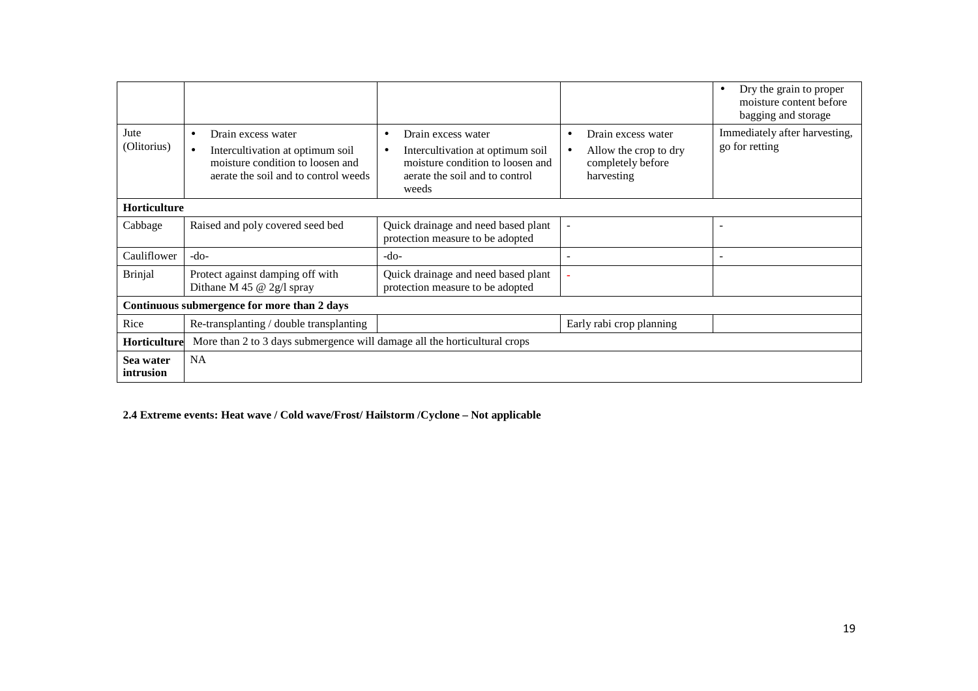|                        |                                                                                                                                                 |                                                                                                                                       |                                                                                     | Dry the grain to proper<br>$\bullet$<br>moisture content before<br>bagging and storage |  |
|------------------------|-------------------------------------------------------------------------------------------------------------------------------------------------|---------------------------------------------------------------------------------------------------------------------------------------|-------------------------------------------------------------------------------------|----------------------------------------------------------------------------------------|--|
| Jute<br>(Olitorius)    | Drain excess water<br>$\bullet$<br>Intercultivation at optimum soil<br>moisture condition to loosen and<br>aerate the soil and to control weeds | Drain excess water<br>Intercultivation at optimum soil<br>moisture condition to loosen and<br>aerate the soil and to control<br>weeds | Drain excess water<br>٠<br>Allow the crop to dry<br>completely before<br>harvesting | Immediately after harvesting,<br>go for retting                                        |  |
| <b>Horticulture</b>    |                                                                                                                                                 |                                                                                                                                       |                                                                                     |                                                                                        |  |
| Cabbage                | Raised and poly covered seed bed                                                                                                                | Quick drainage and need based plant<br>protection measure to be adopted                                                               | $\overline{a}$                                                                      | $\overline{\phantom{0}}$                                                               |  |
| Cauliflower            | -do-                                                                                                                                            | -do-                                                                                                                                  |                                                                                     | $\overline{\phantom{0}}$                                                               |  |
| <b>Brinjal</b>         | Protect against damping off with<br>Dithane M 45 $@$ 2g/l spray                                                                                 | Quick drainage and need based plant<br>protection measure to be adopted                                                               |                                                                                     |                                                                                        |  |
|                        | Continuous submergence for more than 2 days                                                                                                     |                                                                                                                                       |                                                                                     |                                                                                        |  |
| Rice                   | Re-transplanting / double transplanting                                                                                                         |                                                                                                                                       | Early rabi crop planning                                                            |                                                                                        |  |
| <b>Horticulture</b>    | More than 2 to 3 days submergence will damage all the horticultural crops                                                                       |                                                                                                                                       |                                                                                     |                                                                                        |  |
| Sea water<br>intrusion | <b>NA</b>                                                                                                                                       |                                                                                                                                       |                                                                                     |                                                                                        |  |

**2.4 Extreme events: Heat wave / Cold wave/Frost/ Hailstorm /Cyclone – Not applicable**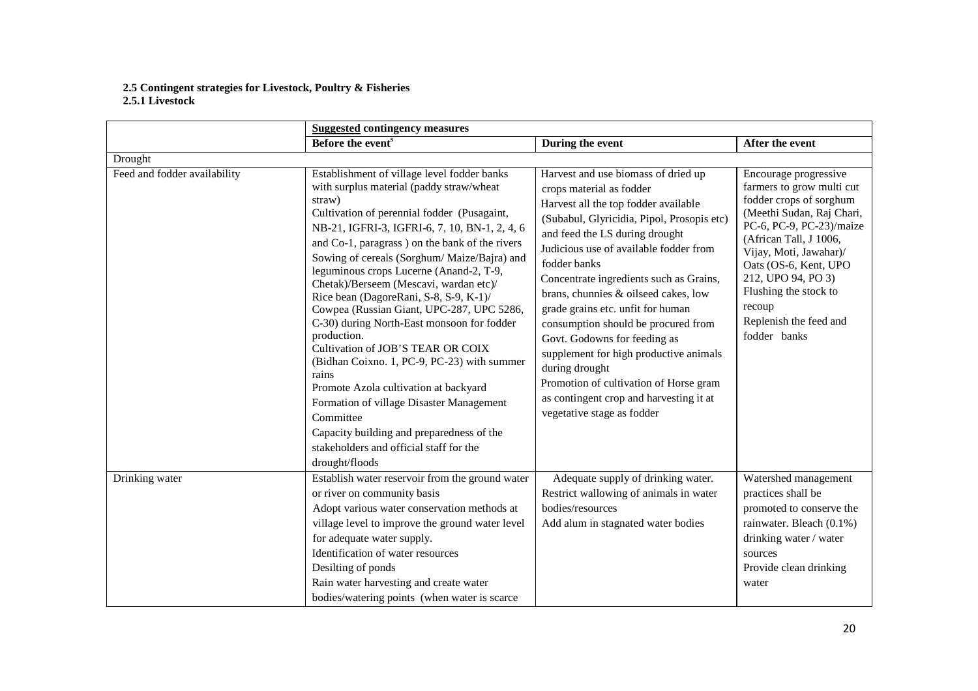# **2.5 Contingent strategies for Livestock, Poultry & Fisheries 2.5.1 Livestock**

|                              | <b>Suggested contingency measures</b>                                                                                                                                                                                                                                                                                                                                                                                                                                                                                                                                                                                                                                                                                                                                                                                                                 |                                                                                                                                                                                                                                                                                                                                                                                                                                                                                                                                                                                                                                 |                                                                                                                                                                                                                                                                                                                        |  |
|------------------------------|-------------------------------------------------------------------------------------------------------------------------------------------------------------------------------------------------------------------------------------------------------------------------------------------------------------------------------------------------------------------------------------------------------------------------------------------------------------------------------------------------------------------------------------------------------------------------------------------------------------------------------------------------------------------------------------------------------------------------------------------------------------------------------------------------------------------------------------------------------|---------------------------------------------------------------------------------------------------------------------------------------------------------------------------------------------------------------------------------------------------------------------------------------------------------------------------------------------------------------------------------------------------------------------------------------------------------------------------------------------------------------------------------------------------------------------------------------------------------------------------------|------------------------------------------------------------------------------------------------------------------------------------------------------------------------------------------------------------------------------------------------------------------------------------------------------------------------|--|
|                              | Before the event <sup>s</sup>                                                                                                                                                                                                                                                                                                                                                                                                                                                                                                                                                                                                                                                                                                                                                                                                                         | During the event                                                                                                                                                                                                                                                                                                                                                                                                                                                                                                                                                                                                                | After the event                                                                                                                                                                                                                                                                                                        |  |
| Drought                      |                                                                                                                                                                                                                                                                                                                                                                                                                                                                                                                                                                                                                                                                                                                                                                                                                                                       |                                                                                                                                                                                                                                                                                                                                                                                                                                                                                                                                                                                                                                 |                                                                                                                                                                                                                                                                                                                        |  |
| Feed and fodder availability | Establishment of village level fodder banks<br>with surplus material (paddy straw/wheat<br>straw)<br>Cultivation of perennial fodder (Pusagaint,<br>NB-21, IGFRI-3, IGFRI-6, 7, 10, BN-1, 2, 4, 6<br>and Co-1, paragrass) on the bank of the rivers<br>Sowing of cereals (Sorghum/ Maize/Bajra) and<br>leguminous crops Lucerne (Anand-2, T-9,<br>Chetak)/Berseem (Mescavi, wardan etc)/<br>Rice bean (DagoreRani, S-8, S-9, K-1)/<br>Cowpea (Russian Giant, UPC-287, UPC 5286,<br>C-30) during North-East monsoon for fodder<br>production.<br>Cultivation of JOB'S TEAR OR COIX<br>(Bidhan Coixno. 1, PC-9, PC-23) with summer<br>rains<br>Promote Azola cultivation at backyard<br>Formation of village Disaster Management<br>Committee<br>Capacity building and preparedness of the<br>stakeholders and official staff for the<br>drought/floods | Harvest and use biomass of dried up<br>crops material as fodder<br>Harvest all the top fodder available<br>(Subabul, Glyricidia, Pipol, Prosopis etc)<br>and feed the LS during drought<br>Judicious use of available fodder from<br>fodder banks<br>Concentrate ingredients such as Grains,<br>brans, chunnies & oilseed cakes, low<br>grade grains etc. unfit for human<br>consumption should be procured from<br>Govt. Godowns for feeding as<br>supplement for high productive animals<br>during drought<br>Promotion of cultivation of Horse gram<br>as contingent crop and harvesting it at<br>vegetative stage as fodder | Encourage progressive<br>farmers to grow multi cut<br>fodder crops of sorghum<br>(Meethi Sudan, Raj Chari,<br>PC-6, PC-9, PC-23)/maize<br>(African Tall, J 1006,<br>Vijay, Moti, Jawahar)/<br>Oats (OS-6, Kent, UPO<br>212, UPO 94, PO 3)<br>Flushing the stock to<br>recoup<br>Replenish the feed and<br>fodder banks |  |
| Drinking water               | Establish water reservoir from the ground water<br>or river on community basis<br>Adopt various water conservation methods at<br>village level to improve the ground water level<br>for adequate water supply.<br>Identification of water resources<br>Desilting of ponds<br>Rain water harvesting and create water<br>bodies/watering points (when water is scarce                                                                                                                                                                                                                                                                                                                                                                                                                                                                                   | Adequate supply of drinking water.<br>Restrict wallowing of animals in water<br>bodies/resources<br>Add alum in stagnated water bodies                                                                                                                                                                                                                                                                                                                                                                                                                                                                                          | Watershed management<br>practices shall be<br>promoted to conserve the<br>rainwater. Bleach (0.1%)<br>drinking water / water<br>sources<br>Provide clean drinking<br>water                                                                                                                                             |  |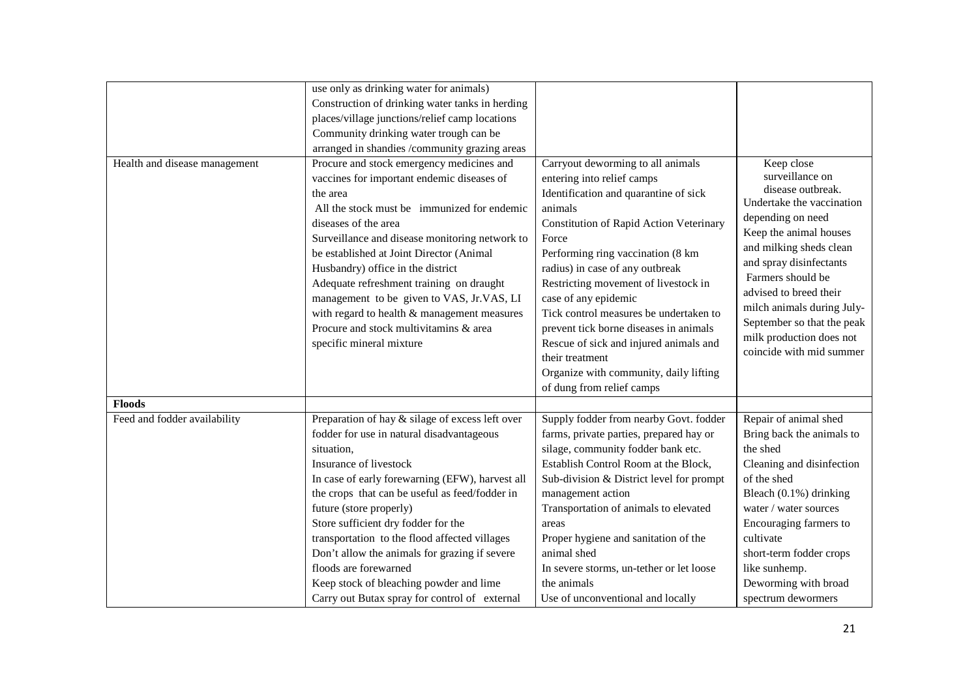| Construction of drinking water tanks in herding                                                                                                                                                                                                                                                                                                                                                                                                                                                                             |                                                                                                                                                                                                                                                                                                                                                                                                                                                                                                                                                |                                                                                                                                                                                                                                                                                                                                                         |
|-----------------------------------------------------------------------------------------------------------------------------------------------------------------------------------------------------------------------------------------------------------------------------------------------------------------------------------------------------------------------------------------------------------------------------------------------------------------------------------------------------------------------------|------------------------------------------------------------------------------------------------------------------------------------------------------------------------------------------------------------------------------------------------------------------------------------------------------------------------------------------------------------------------------------------------------------------------------------------------------------------------------------------------------------------------------------------------|---------------------------------------------------------------------------------------------------------------------------------------------------------------------------------------------------------------------------------------------------------------------------------------------------------------------------------------------------------|
| places/village junctions/relief camp locations                                                                                                                                                                                                                                                                                                                                                                                                                                                                              |                                                                                                                                                                                                                                                                                                                                                                                                                                                                                                                                                |                                                                                                                                                                                                                                                                                                                                                         |
| Community drinking water trough can be                                                                                                                                                                                                                                                                                                                                                                                                                                                                                      |                                                                                                                                                                                                                                                                                                                                                                                                                                                                                                                                                |                                                                                                                                                                                                                                                                                                                                                         |
| arranged in shandies /community grazing areas                                                                                                                                                                                                                                                                                                                                                                                                                                                                               |                                                                                                                                                                                                                                                                                                                                                                                                                                                                                                                                                |                                                                                                                                                                                                                                                                                                                                                         |
| Procure and stock emergency medicines and<br>vaccines for important endemic diseases of<br>the area<br>All the stock must be immunized for endemic<br>diseases of the area<br>Surveillance and disease monitoring network to<br>be established at Joint Director (Animal<br>Husbandry) office in the district<br>Adequate refreshment training on draught<br>management to be given to VAS, Jr.VAS, LI<br>with regard to health & management measures<br>Procure and stock multivitamins & area<br>specific mineral mixture | Carryout deworming to all animals<br>entering into relief camps<br>Identification and quarantine of sick<br>animals<br><b>Constitution of Rapid Action Veterinary</b><br>Force<br>Performing ring vaccination (8 km<br>radius) in case of any outbreak<br>Restricting movement of livestock in<br>case of any epidemic<br>Tick control measures be undertaken to<br>prevent tick borne diseases in animals<br>Rescue of sick and injured animals and<br>their treatment<br>Organize with community, daily lifting<br>of dung from relief camps | Keep close<br>surveillance on<br>disease outbreak.<br>Undertake the vaccination<br>depending on need<br>Keep the animal houses<br>and milking sheds clean<br>and spray disinfectants<br>Farmers should be<br>advised to breed their<br>milch animals during July-<br>September so that the peak<br>milk production does not<br>coincide with mid summer |
|                                                                                                                                                                                                                                                                                                                                                                                                                                                                                                                             |                                                                                                                                                                                                                                                                                                                                                                                                                                                                                                                                                |                                                                                                                                                                                                                                                                                                                                                         |
| Preparation of hay & silage of excess left over<br>fodder for use in natural disadvantageous<br>situation,<br>Insurance of livestock<br>In case of early forewarning (EFW), harvest all<br>the crops that can be useful as feed/fodder in<br>future (store properly)<br>Store sufficient dry fodder for the<br>transportation to the flood affected villages<br>Don't allow the animals for grazing if severe<br>floods are forewarned                                                                                      | Supply fodder from nearby Govt. fodder<br>farms, private parties, prepared hay or<br>silage, community fodder bank etc.<br>Establish Control Room at the Block,<br>Sub-division & District level for prompt<br>management action<br>Transportation of animals to elevated<br>areas<br>Proper hygiene and sanitation of the<br>animal shed<br>In severe storms, un-tether or let loose                                                                                                                                                          | Repair of animal shed<br>Bring back the animals to<br>the shed<br>Cleaning and disinfection<br>of the shed<br>Bleach (0.1%) drinking<br>water / water sources<br>Encouraging farmers to<br>cultivate<br>short-term fodder crops<br>like sunhemp.<br>Deworming with broad                                                                                |
|                                                                                                                                                                                                                                                                                                                                                                                                                                                                                                                             | use only as drinking water for animals)                                                                                                                                                                                                                                                                                                                                                                                                                                                                                                        | Keep stock of bleaching powder and lime<br>the animals                                                                                                                                                                                                                                                                                                  |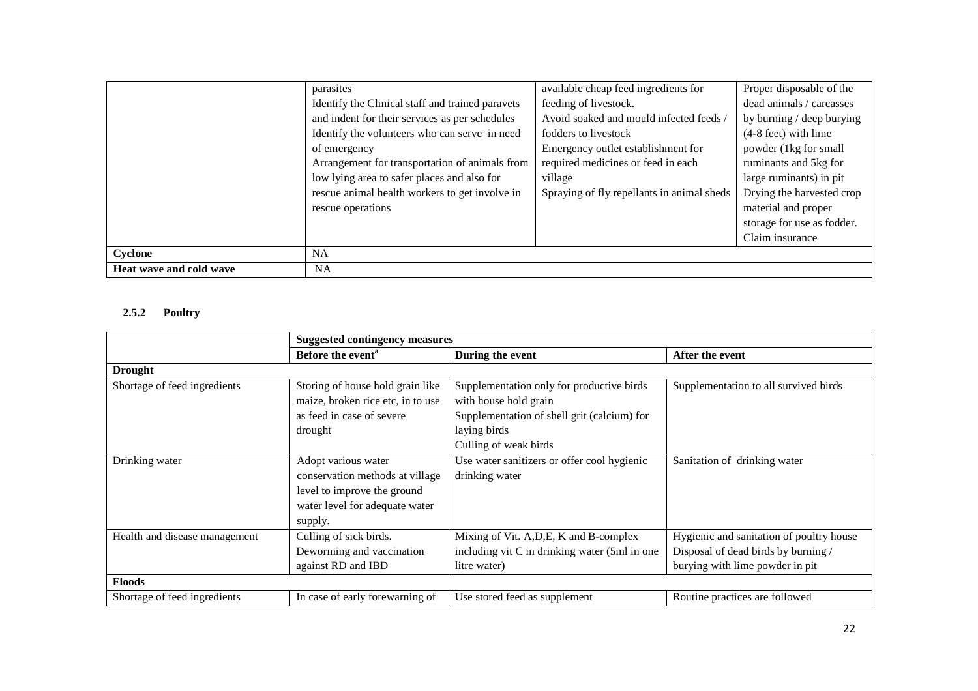|                         | parasites                                        | available cheap feed ingredients for       | Proper disposable of the   |
|-------------------------|--------------------------------------------------|--------------------------------------------|----------------------------|
|                         | Identify the Clinical staff and trained paravets | feeding of livestock.                      | dead animals / carcasses   |
|                         | and indent for their services as per schedules   | Avoid soaked and mould infected feeds /    | by burning / deep burying  |
|                         | Identify the volunteers who can serve in need    | fodders to livestock                       | $(4-8$ feet) with lime     |
|                         | of emergency                                     | Emergency outlet establishment for         | powder (1kg for small      |
|                         | Arrangement for transportation of animals from   | required medicines or feed in each         | ruminants and 5kg for      |
|                         | low lying area to safer places and also for      | village                                    | large ruminants) in pit    |
|                         | rescue animal health workers to get involve in   | Spraying of fly repellants in animal sheds | Drying the harvested crop  |
|                         | rescue operations                                |                                            | material and proper        |
|                         |                                                  |                                            | storage for use as fodder. |
|                         |                                                  |                                            | Claim insurance            |
| Cyclone                 | <b>NA</b>                                        |                                            |                            |
| Heat wave and cold wave | <b>NA</b>                                        |                                            |                            |

## **2.5.2 Poultry**

|                               | <b>Suggested contingency measures</b> |                                                |                                          |  |
|-------------------------------|---------------------------------------|------------------------------------------------|------------------------------------------|--|
|                               | Before the event <sup>a</sup>         | During the event                               | After the event                          |  |
| <b>Drought</b>                |                                       |                                                |                                          |  |
| Shortage of feed ingredients  | Storing of house hold grain like      | Supplementation only for productive birds      | Supplementation to all survived birds    |  |
|                               | maize, broken rice etc, in to use     | with house hold grain                          |                                          |  |
|                               | as feed in case of severe             | Supplementation of shell grit (calcium) for    |                                          |  |
|                               | drought                               | laying birds                                   |                                          |  |
|                               |                                       | Culling of weak birds                          |                                          |  |
| Drinking water                | Adopt various water                   | Use water sanitizers or offer cool hygienic    | Sanitation of drinking water             |  |
|                               | conservation methods at village       | drinking water                                 |                                          |  |
|                               | level to improve the ground           |                                                |                                          |  |
|                               | water level for adequate water        |                                                |                                          |  |
|                               | supply.                               |                                                |                                          |  |
| Health and disease management | Culling of sick birds.                | Mixing of Vit. A, D, E, K and B-complex        | Hygienic and sanitation of poultry house |  |
|                               | Deworming and vaccination             | including vit C in drinking water (5ml in one) | Disposal of dead birds by burning /      |  |
|                               | against RD and IBD                    | litre water)                                   | burying with lime powder in pit          |  |
| <b>Floods</b>                 |                                       |                                                |                                          |  |
| Shortage of feed ingredients  | In case of early forewarning of       | Use stored feed as supplement                  | Routine practices are followed           |  |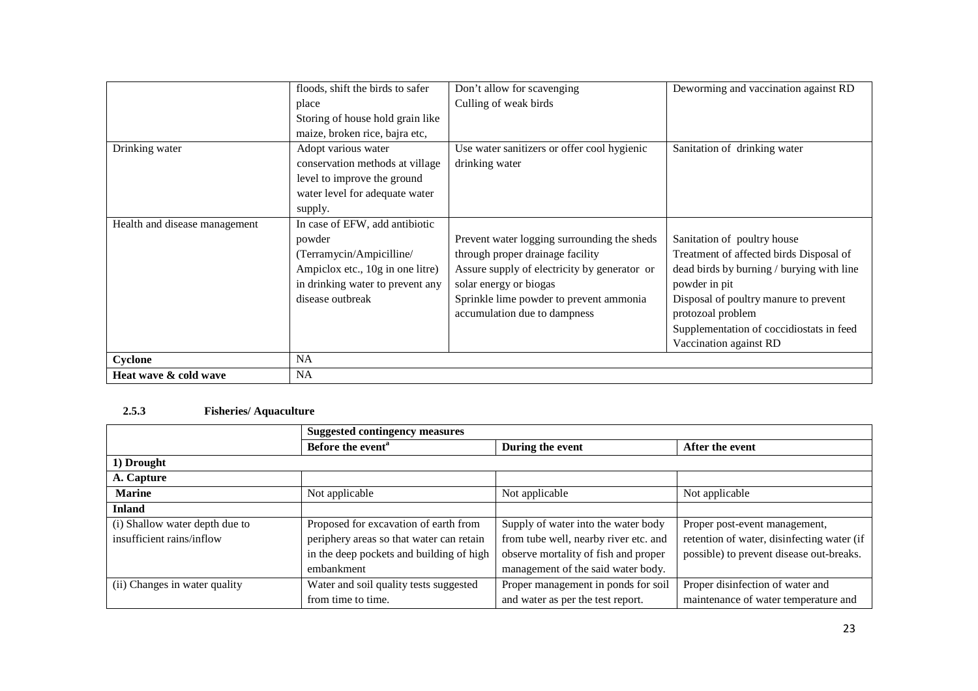|                               | floods, shift the birds to safer | Don't allow for scavenging                   | Deworming and vaccination against RD      |
|-------------------------------|----------------------------------|----------------------------------------------|-------------------------------------------|
|                               | place                            | Culling of weak birds                        |                                           |
|                               | Storing of house hold grain like |                                              |                                           |
|                               | maize, broken rice, bajra etc,   |                                              |                                           |
| Drinking water                | Adopt various water              | Use water sanitizers or offer cool hygienic  | Sanitation of drinking water              |
|                               | conservation methods at village  | drinking water                               |                                           |
|                               | level to improve the ground      |                                              |                                           |
|                               | water level for adequate water   |                                              |                                           |
|                               | supply.                          |                                              |                                           |
| Health and disease management | In case of EFW, add antibiotic   |                                              |                                           |
|                               | powder                           | Prevent water logging surrounding the sheds  | Sanitation of poultry house               |
|                               | (Terramycin/Ampicilline/         | through proper drainage facility             | Treatment of affected birds Disposal of   |
|                               | Ampiclox etc., 10g in one litre) | Assure supply of electricity by generator or | dead birds by burning / burying with line |
|                               | in drinking water to prevent any | solar energy or biogas                       | powder in pit                             |
|                               | disease outbreak                 | Sprinkle lime powder to prevent ammonia      | Disposal of poultry manure to prevent     |
|                               |                                  | accumulation due to dampness                 | protozoal problem                         |
|                               |                                  |                                              | Supplementation of coccidiostats in feed  |
|                               |                                  |                                              | Vaccination against RD                    |
| Cyclone                       | <b>NA</b>                        |                                              |                                           |
| Heat wave & cold wave         | <b>NA</b>                        |                                              |                                           |

## **2.5.3 Fisheries/ Aquaculture**

|                                | <b>Suggested contingency measures</b>    |                                       |                                            |  |
|--------------------------------|------------------------------------------|---------------------------------------|--------------------------------------------|--|
|                                | Before the event <sup>a</sup>            | During the event                      | After the event                            |  |
| 1) Drought                     |                                          |                                       |                                            |  |
| A. Capture                     |                                          |                                       |                                            |  |
| <b>Marine</b>                  | Not applicable                           | Not applicable                        | Not applicable                             |  |
| <b>Inland</b>                  |                                          |                                       |                                            |  |
| (i) Shallow water depth due to | Proposed for excavation of earth from    | Supply of water into the water body   | Proper post-event management,              |  |
| insufficient rains/inflow      | periphery areas so that water can retain | from tube well, nearby river etc. and | retention of water, disinfecting water (if |  |
|                                | in the deep pockets and building of high | observe mortality of fish and proper  | possible) to prevent disease out-breaks.   |  |
|                                | embankment                               | management of the said water body.    |                                            |  |
| (ii) Changes in water quality  | Water and soil quality tests suggested   | Proper management in ponds for soil   | Proper disinfection of water and           |  |
|                                | from time to time.                       | and water as per the test report.     | maintenance of water temperature and       |  |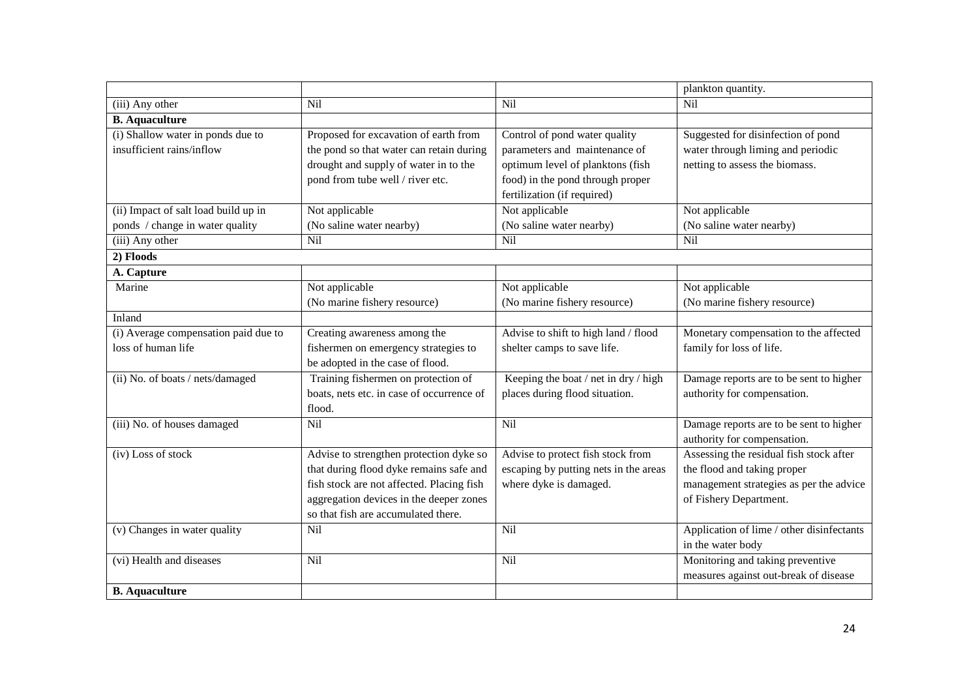|                                                                |                                                                                                                                                                                                                   |                                                                                                                                                                       | plankton quantity.                                                                                                                          |
|----------------------------------------------------------------|-------------------------------------------------------------------------------------------------------------------------------------------------------------------------------------------------------------------|-----------------------------------------------------------------------------------------------------------------------------------------------------------------------|---------------------------------------------------------------------------------------------------------------------------------------------|
| (iii) Any other                                                | <b>Nil</b>                                                                                                                                                                                                        | Nil                                                                                                                                                                   | Nil                                                                                                                                         |
| <b>B.</b> Aquaculture                                          |                                                                                                                                                                                                                   |                                                                                                                                                                       |                                                                                                                                             |
| (i) Shallow water in ponds due to<br>insufficient rains/inflow | Proposed for excavation of earth from<br>the pond so that water can retain during<br>drought and supply of water in to the<br>pond from tube well / river etc.                                                    | Control of pond water quality<br>parameters and maintenance of<br>optimum level of planktons (fish<br>food) in the pond through proper<br>fertilization (if required) | Suggested for disinfection of pond<br>water through liming and periodic<br>netting to assess the biomass.                                   |
| (ii) Impact of salt load build up in                           | Not applicable                                                                                                                                                                                                    | Not applicable                                                                                                                                                        | Not applicable                                                                                                                              |
| ponds / change in water quality                                | (No saline water nearby)                                                                                                                                                                                          | (No saline water nearby)                                                                                                                                              | (No saline water nearby)                                                                                                                    |
| (iii) Any other                                                | <b>Nil</b>                                                                                                                                                                                                        | Nil                                                                                                                                                                   | Nil                                                                                                                                         |
| 2) Floods                                                      |                                                                                                                                                                                                                   |                                                                                                                                                                       |                                                                                                                                             |
| A. Capture                                                     |                                                                                                                                                                                                                   |                                                                                                                                                                       |                                                                                                                                             |
| Marine                                                         | Not applicable<br>(No marine fishery resource)                                                                                                                                                                    | Not applicable<br>(No marine fishery resource)                                                                                                                        | Not applicable<br>(No marine fishery resource)                                                                                              |
| Inland                                                         |                                                                                                                                                                                                                   |                                                                                                                                                                       |                                                                                                                                             |
| (i) Average compensation paid due to<br>loss of human life     | Creating awareness among the<br>fishermen on emergency strategies to<br>be adopted in the case of flood.                                                                                                          | Advise to shift to high land / flood<br>shelter camps to save life.                                                                                                   | Monetary compensation to the affected<br>family for loss of life.                                                                           |
| (ii) No. of boats / nets/damaged                               | Training fishermen on protection of<br>boats, nets etc. in case of occurrence of<br>flood.                                                                                                                        | Keeping the boat / net in dry / high<br>places during flood situation.                                                                                                | Damage reports are to be sent to higher<br>authority for compensation.                                                                      |
| (iii) No. of houses damaged                                    | <b>Nil</b>                                                                                                                                                                                                        | Nil                                                                                                                                                                   | Damage reports are to be sent to higher<br>authority for compensation.                                                                      |
| (iv) Loss of stock                                             | Advise to strengthen protection dyke so<br>that during flood dyke remains safe and<br>fish stock are not affected. Placing fish<br>aggregation devices in the deeper zones<br>so that fish are accumulated there. | Advise to protect fish stock from<br>escaping by putting nets in the areas<br>where dyke is damaged.                                                                  | Assessing the residual fish stock after<br>the flood and taking proper<br>management strategies as per the advice<br>of Fishery Department. |
| (v) Changes in water quality                                   | Nil                                                                                                                                                                                                               | Nil                                                                                                                                                                   | Application of lime / other disinfectants<br>in the water body                                                                              |
| (vi) Health and diseases                                       | Nil                                                                                                                                                                                                               | Nil                                                                                                                                                                   | Monitoring and taking preventive<br>measures against out-break of disease                                                                   |
| <b>B.</b> Aquaculture                                          |                                                                                                                                                                                                                   |                                                                                                                                                                       |                                                                                                                                             |